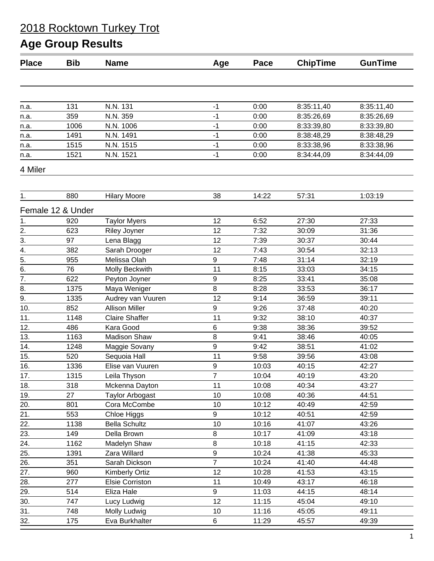| <b>Place</b>     | <b>Bib</b>        | <b>Name</b>            | Age              | Pace  | <b>ChipTime</b> | <b>GunTime</b> |
|------------------|-------------------|------------------------|------------------|-------|-----------------|----------------|
|                  |                   |                        |                  |       |                 |                |
|                  |                   |                        |                  |       |                 |                |
| n.a.             | 131               | N.N. 131               | $-1$             | 0:00  | 8:35:11,40      | 8:35:11,40     |
| n.a.             | 359               | N.N. 359               | $-1$             | 0:00  | 8:35:26,69      | 8:35:26,69     |
| n.a.             | 1006              | N.N. 1006              | $-1$             | 0:00  | 8:33:39,80      | 8:33:39,80     |
| n.a.             | 1491              | N.N. 1491              | $-1$             | 0:00  | 8:38:48,29      | 8:38:48,29     |
| n.a.             | 1515              | N.N. 1515              | $-1$             | 0:00  | 8:33:38,96      | 8:33:38,96     |
| n.a.             | 1521              | N.N. 1521              | $-1$             | 0:00  | 8:34:44,09      | 8:34:44,09     |
| 4 Miler          |                   |                        |                  |       |                 |                |
| 1.               | 880               | <b>Hilary Moore</b>    | 38               | 14:22 | 57:31           | 1:03:19        |
|                  |                   |                        |                  |       |                 |                |
|                  | Female 12 & Under |                        |                  |       |                 |                |
| 1.               | 920               | <b>Taylor Myers</b>    | 12               | 6:52  | 27:30           | 27:33          |
| 2.               | 623               | Riley Joyner           | 12               | 7:32  | 30:09           | 31:36          |
| 3.               | 97                | Lena Blagg             | 12               | 7:39  | 30:37           | 30:44          |
| 4.               | 382               | Sarah Drooger          | 12               | 7:43  | 30:54           | 32:13          |
| $\overline{5}$ . | 955               | Melissa Olah           | $\boldsymbol{9}$ | 7:48  | 31:14           | 32:19          |
| 6.               | 76                | Molly Beckwith         | 11               | 8:15  | 33:03           | 34:15          |
| $\overline{7}$ . | 622               | Peyton Joyner          | 9                | 8:25  | 33:41           | 35:08          |
| 8.               | 1375              | Maya Weniger           | 8                | 8:28  | 33:53           | 36:17          |
| 9.               | 1335              | Audrey van Vuuren      | 12               | 9:14  | 36:59           | 39:11          |
| 10.              | 852               | <b>Allison Miller</b>  | 9                | 9:26  | 37:48           | 40:20          |
| 11.              | 1148              | <b>Claire Shaffer</b>  | 11               | 9:32  | 38:10           | 40:37          |
| 12.              | 486               | Kara Good              | 6                | 9:38  | 38:36           | 39:52          |
| 13.              | 1163              | <b>Madison Shaw</b>    | 8                | 9:41  | 38:46           | 40:05          |
| 14.              | 1248              | Maggie Sovany          | $\boldsymbol{9}$ | 9:42  | 38:51           | 41:02          |
| 15.              | 520               | Sequoia Hall           | 11               | 9:58  | 39:56           | 43:08          |
| 16.              | 1336              | Elise van Vuuren       | 9                | 10:03 | 40:15           | 42:27          |
| 17.              | 1315              | Leila Thyson           | 7                | 10:04 | 40:19           | 43:20          |
| 18.              | 318               | Mckenna Dayton         | 11               | 10:08 | 40:34           | 43:27          |
| 19.              | 27                | <b>Taylor Arbogast</b> | 10               | 10:08 | 40:36           | 44:51          |
| 20.              | 801               | Cora McCombe           | 10               | 10:12 | 40:49           | 42:59          |
| 21.              | 553               | Chloe Higgs            | 9                | 10:12 | 40:51           | 42:59          |
| 22.              | 1138              | <b>Bella Schultz</b>   | 10               | 10:16 | 41:07           | 43:26          |
| 23.              | 149               | Della Brown            | 8                | 10:17 | 41:09           | 43:18          |
| 24.              | 1162              | Madelyn Shaw           | $\bf 8$          | 10:18 | 41:15           | 42:33          |
| 25.              | 1391              | Zara Willard           | $\boldsymbol{9}$ | 10:24 | 41:38           | 45:33          |
| 26.              | 351               | Sarah Dickson          | $\overline{7}$   | 10:24 | 41:40           | 44:48          |
| 27.              | 960               | <b>Kimberly Ortiz</b>  | 12               | 10:28 | 41:53           | 43:15          |
| 28.              | 277               | <b>Elsie Corriston</b> | 11               | 10:49 | 43:17           | 46:18          |
| 29.              | 514               | Eliza Hale             | $\boldsymbol{9}$ | 11:03 | 44:15           | 48:14          |
| 30.              | 747               | Lucy Ludwig            | 12               | 11:15 | 45:04           | 49:10          |
| 31.              | 748               | Molly Ludwig           | 10               | 11:16 | 45:05           | 49:11          |
| 32.              | 175               | Eva Burkhalter         | 6                | 11:29 | 45:57           | 49:39          |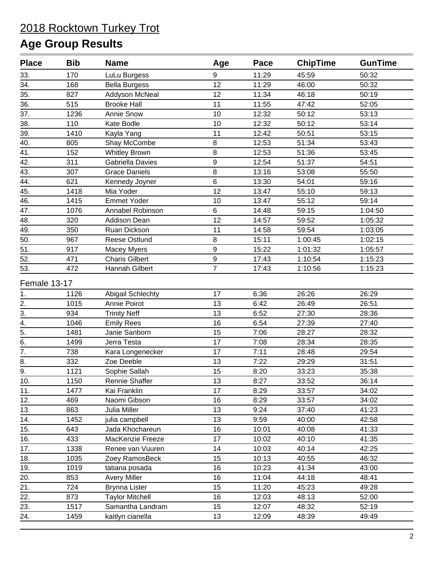| <b>Place</b>     | <b>Bib</b> | <b>Name</b>            | Age            | Pace  | <b>ChipTime</b> | <b>GunTime</b> |
|------------------|------------|------------------------|----------------|-------|-----------------|----------------|
| 33.              | 170        | LuLu Burgess           | 9              | 11:29 | 45:59           | 50:32          |
| 34.              | 168        | <b>Bella Burgess</b>   | 12             | 11:29 | 46:00           | 50:32          |
| 35.              | 827        | Addyson McNeal         | 12             | 11:34 | 46:18           | 50:19          |
| 36.              | 515        | <b>Brooke Hall</b>     | 11             | 11:55 | 47:42           | 52:05          |
| 37.              | 1236       | Annie Snow             | 10             | 12:32 | 50:12           | 53:13          |
| 38.              | 110        | Kate Bodle             | 10             | 12:32 | 50:12           | 53:14          |
| 39.              | 1410       | Kayla Yang             | 11             | 12:42 | 50:51           | 53:15          |
| 40.              | 805        | Shay McCombe           | 8              | 12:53 | 51:34           | 53:43          |
| 41.              | 152        | <b>Whitley Brown</b>   | 8              | 12:53 | 51:36           | 53:45          |
| 42.              | 311        | Gabriella Davies       | 9              | 12:54 | 51:37           | 54:51          |
| 43.              | 307        | <b>Grace Daniels</b>   | 8              | 13:16 | 53:08           | 55:50          |
| 44.              | 621        | Kennedy Joyner         | 6              | 13:30 | 54:01           | 59:16          |
| 45.              | 1418       | Mia Yoder              | 12             | 13:47 | 55:10           | 59:13          |
| 46.              | 1415       | <b>Emmet Yoder</b>     | 10             | 13:47 | 55:12           | 59:14          |
| 47.              | 1076       | Annabel Robinson       | 6              | 14:48 | 59:15           | 1:04:50        |
| 48.              | 320        | <b>Addison Dean</b>    | 12             | 14:57 | 59:52           | 1:05:32        |
| 49.              | 350        | Ruan Dickson           | 11             | 14:58 | 59:54           | 1:03:05        |
| 50.              | 967        | Reese Ostlund          | 8              | 15:11 | 1:00:45         | 1:02:15        |
| 51.              | 917        | Macey Myers            | 9              | 15:22 | 1:01:32         | 1:05:57        |
| 52.              | 471        | <b>Charis Gilbert</b>  | 9              | 17:43 | 1:10:54         | 1:15:23        |
| 53.              | 472        | Hannah Gilbert         | $\overline{7}$ | 17:43 | 1:10:56         | 1:15:23        |
| Female 13-17     |            |                        |                |       |                 |                |
| 1.               | 1126       | Abigail Schlechty      | 17             | 6:36  | 26:26           | 26:29          |
| $\overline{2}$ . | 1015       | Annie Poirot           | 13             | 6:42  | 26:49           | 26:51          |
| 3.               | 934        | <b>Trinity Neff</b>    | 13             | 6:52  | 27:30           | 28:36          |
| 4.               | 1046       | <b>Emily Rees</b>      | 16             | 6:54  | 27:39           | 27:40          |
| $\frac{1}{5}$    | 1481       | Janie Sanborn          | 15             | 7:06  | 28:27           | 28:32          |
| $\overline{6}$ . | 1499       | Jerra Testa            | 17             | 7:08  | 28:34           | 28:35          |
| $\overline{7}$ . | 738        | Kara Longenecker       | 17             | 7:11  | 28:48           | 29:54          |
| 8.               | 332        | Zoe Deeble             | 13             | 7:22  | 29:29           | 31:51          |
| $\overline{9}$ . | 1121       | Sophie Sallah          | 15             | 8:20  | 33:23           | 35:38          |
| 10.              | 1150       | Rennie Shaffer         | 13             | 8:27  | 33:52           | 36:14          |
| 11.              | 1477       | Kai Franklin           | 17             | 8:29  | 33:57           | 34:02          |
| 12.              | 469        | Naomi Gibson           | 16             | 8:29  | 33:57           | 34:02          |
| 13.              | 863        | Julia Miller           | 13             | 9:24  | 37:40           | 41:23          |
| 14.              | 1452       | julia campbell         | 13             | 9:59  | 40:00           | 42:58          |
| 15.              | 643        | Jada Khochareun        | 16             | 10:01 | 40:08           | 41:33          |
| 16.              | 433        | MacKenzie Freeze       | 17             | 10:02 | 40:10           | 41:35          |
| 17.              | 1338       | Renee van Vuuren       | 14             | 10:03 | 40:14           | 42:25          |
| 18.              | 1035       | Zoey RamosBeck         | 15             | 10:13 | 40:55           | 46:32          |
| 19.              | 1019       | tatiana posada         | 16             | 10:23 | 41:34           | 43:00          |
| 20.              | 853        | <b>Avery Miller</b>    | 16             | 11:04 | 44:18           | 48:41          |
| 21.              | 724        | <b>Brynna Lister</b>   | 15             | 11:20 | 45:23           | 49:28          |
| 22.              | 873        | <b>Taylor Mitchell</b> | 16             | 12:03 | 48:13           | 52:00          |
| 23.              | 1517       | Samantha Landram       | 15             | 12:07 | 48:32           | 52:19          |
| 24.              | 1459       | kaitlyn cianella       | 13             | 12:09 | 48:39           | 49:49          |
|                  |            |                        |                |       |                 |                |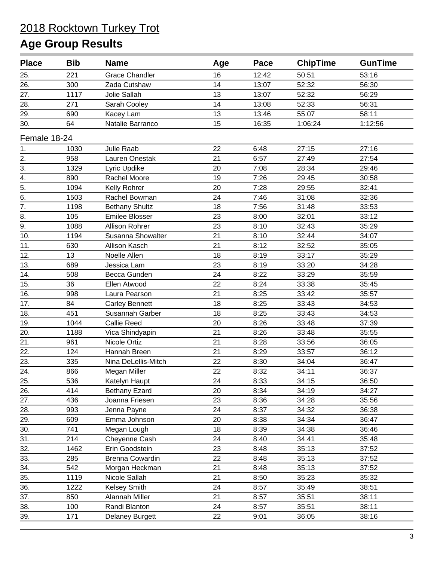| <b>Place</b>      | <b>Bib</b> | <b>Name</b>           | Age | Pace  | <b>ChipTime</b> | <b>GunTime</b> |
|-------------------|------------|-----------------------|-----|-------|-----------------|----------------|
| 25.               | 221        | <b>Grace Chandler</b> | 16  | 12:42 | 50:51           | 53:16          |
| 26.               | 300        | Zada Cutshaw          | 14  | 13:07 | 52:32           | 56:30          |
| 27.               | 1117       | Jolie Sallah          | 13  | 13:07 | 52:32           | 56:29          |
| 28.               | 271        | Sarah Cooley          | 14  | 13:08 | 52:33           | 56:31          |
| 29.               | 690        | Kacey Lam             | 13  | 13:46 | 55:07           | 58:11          |
| 30.               | 64         | Natalie Barranco      | 15  | 16:35 | 1:06:24         | 1:12:56        |
| Female 18-24      |            |                       |     |       |                 |                |
| 1.                | 1030       | Julie Raab            | 22  | 6:48  | 27:15           | 27:16          |
| 2.                | 958        | Lauren Onestak        | 21  | 6:57  | 27:49           | 27:54          |
| $\overline{3}$ .  | 1329       | Lyric Updike          | 20  | 7:08  | 28:34           | 29:46          |
| 4.                | 890        | Rachel Moore          | 19  | 7:26  | 29:45           | 30:58          |
| $\overline{5}$ .  | 1094       | Kelly Rohrer          | 20  | 7:28  | 29:55           | 32:41          |
| 6.                | 1503       | Rachel Bowman         | 24  | 7:46  | 31:08           | 32:36          |
| $\overline{7}$ .  | 1198       | <b>Bethany Shultz</b> | 18  | 7:56  | 31:48           | 33:53          |
| 8.                | 105        | <b>Emilee Blosser</b> | 23  | 8:00  | 32:01           | 33:12          |
| 9.                | 1088       | <b>Allison Rohrer</b> | 23  | 8:10  | 32:43           | 35:29          |
| 10.               | 1194       | Susanna Showalter     | 21  | 8:10  | 32:44           | 34:07          |
| $\overline{11}$ . | 630        | Allison Kasch         | 21  | 8:12  | 32:52           | 35:05          |
| 12.               | 13         | Noelle Allen          | 18  | 8:19  | 33:17           | 35:29          |
| 13.               | 689        | Jessica Lam           | 23  | 8:19  | 33:20           | 34:28          |
| 14.               | 508        | Becca Gunden          | 24  | 8:22  | 33:29           | 35:59          |
| 15.               | 36         | Ellen Atwood          | 22  | 8:24  | 33:38           | 35:45          |
| 16.               | 998        | Laura Pearson         | 21  | 8:25  | 33:42           | 35:57          |
| 17.               | 84         | <b>Carley Bennett</b> | 18  | 8:25  | 33:43           | 34:53          |
| 18.               | 451        | Susannah Garber       | 18  | 8:25  | 33:43           | 34:53          |
| 19.               | 1044       | <b>Callie Reed</b>    | 20  | 8:26  | 33:48           | 37:39          |
| 20.               | 1188       | Vica Shindyapin       | 21  | 8:26  | 33:48           | 35:55          |
| 21.               | 961        | Nicole Ortiz          | 21  | 8:28  | 33:56           | 36:05          |
| 22.               | 124        | Hannah Breen          | 21  | 8:29  | 33:57           | 36:12          |
| 23.               | 335        | Nina DeLellis-Mitch   | 22  | 8:30  | 34:04           | 36:47          |
| 24.               | 866        | Megan Miller          | 22  | 8:32  | 34:11           | 36:37          |
| 25.               | 536        | Katelyn Haupt         | 24  | 8:33  | 34:15           | 36:50          |
| 26.               | 414        | <b>Bethany Ezard</b>  | 20  | 8:34  | 34:19           | 34:27          |
| 27.               | 436        | Joanna Friesen        | 23  | 8:36  | 34:28           | 35:56          |
| 28.               | 993        | Jenna Payne           | 24  | 8:37  | 34:32           | 36:38          |
| 29.               | 609        | Emma Johnson          | 20  | 8:38  | 34:34           | 36:47          |
| 30.               | 741        | Megan Lough           | 18  | 8:39  | 34:38           | 36:46          |
| 31.               | 214        | Cheyenne Cash         | 24  | 8:40  | 34:41           | 35:48          |
| 32.               | 1462       | Erin Goodstein        | 23  | 8:48  | 35:13           | 37:52          |
| 33.               | 285        | Brenna Cowardin       | 22  | 8:48  | 35:13           | 37:52          |
| 34.               | 542        | Morgan Heckman        | 21  | 8:48  | 35:13           | 37:52          |
| 35.               | 1119       | Nicole Sallah         | 21  | 8:50  | 35:23           | 35:32          |
| 36.               | 1222       | Kelsey Smith          | 24  | 8:57  | 35:49           | 38:51          |
| 37.               | 850        | Alannah Miller        | 21  | 8:57  | 35:51           | 38:11          |
| 38.               | 100        | Randi Blanton         | 24  | 8:57  | 35:51           | 38:11          |
| 39.               | 171        | Delaney Burgett       | 22  | 9:01  | 36:05           | 38:16          |
|                   |            |                       |     |       |                 |                |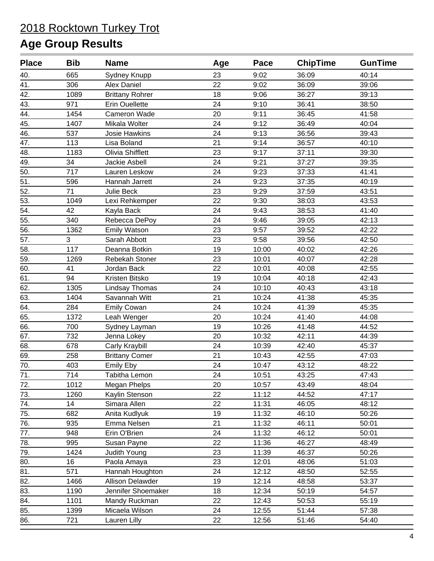| <b>Place</b> | <b>Bib</b> | <b>Name</b>             | Age | Pace  | <b>ChipTime</b> | <b>GunTime</b> |
|--------------|------------|-------------------------|-----|-------|-----------------|----------------|
| 40.          | 665        | Sydney Knupp            | 23  | 9:02  | 36:09           | 40:14          |
| 41.          | 306        | <b>Alex Daniel</b>      | 22  | 9:02  | 36:09           | 39:06          |
| 42.          | 1089       | <b>Brittany Rohrer</b>  | 18  | 9:06  | 36:27           | 39:13          |
| 43.          | 971        | <b>Erin Ouellette</b>   | 24  | 9:10  | 36:41           | 38:50          |
| 44.          | 1454       | Cameron Wade            | 20  | 9:11  | 36:45           | 41:58          |
| 45.          | 1407       | Mikala Wolter           | 24  | 9:12  | 36:49           | 40:04          |
| 46.          | 537        | Josie Hawkins           | 24  | 9:13  | 36:56           | 39:43          |
| 47.          | 113        | Lisa Boland             | 21  | 9:14  | 36:57           | 40:10          |
| 48.          | 1183       | Olivia Shifflett        | 23  | 9:17  | 37:11           | 39:30          |
| 49.          | 34         | Jackie Asbell           | 24  | 9:21  | 37:27           | 39:35          |
| 50.          | 717        | Lauren Leskow           | 24  | 9:23  | 37:33           | 41:41          |
| 51.          | 596        | Hannah Jarrett          | 24  | 9:23  | 37:35           | 40:19          |
| 52.          | 71         | <b>Julie Beck</b>       | 23  | 9:29  | 37:59           | 43:51          |
| 53.          | 1049       | Lexi Rehkemper          | 22  | 9:30  | 38:03           | 43:53          |
| 54.          | 42         | Kayla Back              | 24  | 9:43  | 38:53           | 41:40          |
| 55.          | 340        | Rebecca DePoy           | 24  | 9:46  | 39:05           | 42:13          |
| 56.          | 1362       | <b>Emily Watson</b>     | 23  | 9:57  | 39:52           | 42:22          |
| 57.          | 3          | Sarah Abbott            | 23  | 9:58  | 39:56           | 42:50          |
| 58.          | 117        | Deanna Botkin           | 19  | 10:00 | 40:02           | 42:26          |
| 59.          | 1269       | Rebekah Stoner          | 23  | 10:01 | 40:07           | 42:28          |
| 60.          | 41         | Jordan Back             | 22  | 10:01 | 40:08           | 42:55          |
| 61.          | 94         | Kristen Bitsko          | 19  | 10:04 | 40:18           | 42:43          |
| 62.          | 1305       | Lindsay Thomas          | 24  | 10:10 | 40:43           | 43:18          |
| 63.          | 1404       | Savannah Witt           | 21  | 10:24 | 41:38           | 45:35          |
| 64.          | 284        | <b>Emily Cowan</b>      | 24  | 10:24 | 41:39           | 45:35          |
| 65.          | 1372       | Leah Wenger             | 20  | 10:24 | 41:40           | 44:08          |
| 66.          | 700        | Sydney Layman           | 19  | 10:26 | 41:48           | 44:52          |
| 67.          | 732        | Jenna Lokey             | 20  | 10:32 | 42:11           | 44:39          |
| 68.          | 678        | Carly Kraybill          | 24  | 10:39 | 42:40           | 45:37          |
| 69.          | 258        | <b>Brittany Comer</b>   | 21  | 10:43 | 42:55           | 47:03          |
| 70.          | 403        | Emily Eby               | 24  | 10:47 | 43:12           | 48:22          |
| 71.          | 714        | Tabitha Lemon           | 24  | 10:51 | 43:25           | 47:43          |
| 72.          | 1012       | Megan Phelps            | 20  | 10:57 | 43:49           | 48:04          |
| 73.          | 1260       | Kaylin Stenson          | 22  | 11:12 | 44:52           | 47:17          |
| 74.          | 14         | Simara Allen            | 22  | 11:31 | 46:05           | 48:12          |
| 75.          | 682        | Anita Kudlyuk           | 19  | 11:32 | 46:10           | 50:26          |
| 76.          | 935        | Emma Nelsen             | 21  | 11:32 | 46:11           | 50:01          |
| 77.          | 948        | Erin O'Brien            | 24  | 11:32 | 46:12           | 50:01          |
| 78.          | 995        | Susan Payne             | 22  | 11:36 | 46:27           | 48:49          |
| 79.          | 1424       | Judith Young            | 23  | 11:39 | 46:37           | 50:26          |
| 80.          | 16         | Paola Amaya             | 23  | 12:01 | 48:06           | 51:03          |
| 81.          | 571        | Hannah Houghton         | 24  | 12:12 | 48:50           | 52:55          |
| 82.          | 1466       | <b>Allison Delawder</b> | 19  | 12:14 | 48:58           | 53:37          |
| 83.          | 1190       | Jennifer Shoemaker      | 18  | 12:34 | 50:19           | 54:57          |
| 84.          | 1101       | Mandy Ruckman           | 22  | 12:43 | 50:53           | 55:19          |
| 85.          | 1399       | Micaela Wilson          | 24  | 12:55 | 51:44           | 57:38          |
| 86.          | 721        | Lauren Lilly            | 22  | 12:56 | 51:46           | 54:40          |
|              |            |                         |     |       |                 |                |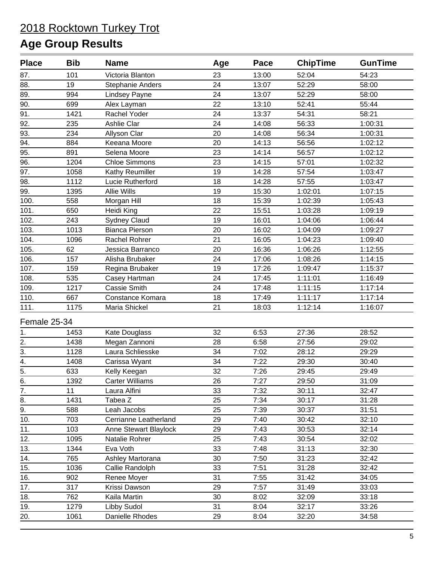| <b>Place</b>     | <b>Bib</b> | <b>Name</b>             | Age | Pace  | <b>ChipTime</b> | <b>GunTime</b> |
|------------------|------------|-------------------------|-----|-------|-----------------|----------------|
| 87.              | 101        | Victoria Blanton        | 23  | 13:00 | 52:04           | 54:23          |
| 88.              | 19         | <b>Stephanie Anders</b> | 24  | 13:07 | 52:29           | 58:00          |
| 89.              | 994        | Lindsey Payne           | 24  | 13:07 | 52:29           | 58:00          |
| 90.              | 699        | Alex Layman             | 22  | 13:10 | 52:41           | 55:44          |
| 91.              | 1421       | Rachel Yoder            | 24  | 13:37 | 54:31           | 58:21          |
| 92.              | 235        | Ashlie Clar             | 24  | 14:08 | 56:33           | 1:00:31        |
| 93.              | 234        | Allyson Clar            | 20  | 14:08 | 56:34           | 1:00:31        |
| 94.              | 884        | Keeana Moore            | 20  | 14:13 | 56:56           | 1:02:12        |
| 95.              | 891        | Selena Moore            | 23  | 14:14 | 56:57           | 1:02:12        |
| 96.              | 1204       | <b>Chloe Simmons</b>    | 23  | 14:15 | 57:01           | 1:02:32        |
| 97.              | 1058       | Kathy Reumiller         | 19  | 14:28 | 57:54           | 1:03:47        |
| 98.              | 1112       | Lucie Rutherford        | 18  | 14:28 | 57:55           | 1:03:47        |
| 99.              | 1395       | <b>Allie Wills</b>      | 19  | 15:30 | 1:02:01         | 1:07:15        |
| 100.             | 558        | Morgan Hill             | 18  | 15:39 | 1:02:39         | 1:05:43        |
| 101.             | 650        | Heidi King              | 22  | 15:51 | 1:03:28         | 1:09:19        |
| 102.             | 243        | <b>Sydney Claud</b>     | 19  | 16:01 | 1:04:06         | 1:06:44        |
| 103.             | 1013       | <b>Bianca Pierson</b>   | 20  | 16:02 | 1:04:09         | 1:09:27        |
| 104.             | 1096       | Rachel Rohrer           | 21  | 16:05 | 1:04:23         | 1:09:40        |
| 105.             | 62         | Jessica Barranco        | 20  | 16:36 | 1:06:26         | 1:12:55        |
| 106.             | 157        | Alisha Brubaker         | 24  | 17:06 | 1:08:26         | 1:14:15        |
| 107.             | 159        | Regina Brubaker         | 19  | 17:26 | 1:09:47         | 1:15:37        |
| 108.             | 535        | Casey Hartman           | 24  | 17:45 | 1:11:01         | 1:16:49        |
| 109.             | 1217       | Cassie Smith            | 24  | 17:48 | 1:11:15         | 1:17:14        |
| 110.             | 667        | Constance Komara        | 18  | 17:49 | 1:11:17         | 1:17:14        |
| 111.             | 1175       | Maria Shickel           | 21  | 18:03 | 1:12:14         | 1:16:07        |
| Female 25-34     |            |                         |     |       |                 |                |
| 1.               | 1453       | Kate Douglass           | 32  | 6:53  | 27:36           | 28:52          |
| 2.               | 1438       | Megan Zannoni           | 28  | 6:58  | 27:56           | 29:02          |
| $\overline{3}$ . | 1128       | Laura Schliesske        | 34  | 7:02  | 28:12           | 29:29          |
| $\overline{4}$ . | 1408       | Carissa Wyant           | 34  | 7:22  | 29:30           | 30:40          |
| 5.               | 633        | Kelly Keegan            | 32  | 7:26  | 29:45           | 29:49          |
|                  | 1392       | <b>Carter Williams</b>  | 26  | 7:27  | 29:50           | 31:09          |
| $rac{6}{7}$ .    | 11         | Laura Alfini            | 33  | 7:32  | 30:11           | 32:47          |
| 8.               | 1431       | Tabea Z                 | 25  | 7:34  | 30:17           | 31:28          |
| 9.               | 588        | Leah Jacobs             | 25  | 7:39  | 30:37           | 31:51          |
| 10.              | 703        | Cerrianne Leatherland   | 29  | 7:40  | 30:42           | 32:10          |
| 11.              | 103        | Anne Stewart Blaylock   | 29  | 7:43  | 30:53           | 32:14          |
| 12.              | 1095       | Natalie Rohrer          | 25  | 7:43  | 30:54           | 32:02          |
| 13.              | 1344       | Eva Voth                | 33  | 7:48  | 31:13           | 32:30          |
| 14.              | 765        | Ashley Martorana        | 30  | 7:50  | 31:23           | 32:42          |
| 15.              | 1036       | Callie Randolph         | 33  | 7:51  | 31:28           | 32:42          |
| 16.              | 902        | Renee Moyer             | 31  | 7:55  | 31:42           | 34:05          |
| 17.              | 317        | Krissi Dawson           | 29  | 7:57  | 31:49           | 33:03          |
| 18.              | 762        | Kaila Martin            | 30  | 8:02  | 32:09           | 33:18          |
| 19.              | 1279       | Libby Sudol             | 31  | 8:04  | 32:17           | 33:26          |
| 20.              | 1061       | Danielle Rhodes         | 29  | 8:04  | 32:20           | 34:58          |
|                  |            |                         |     |       |                 |                |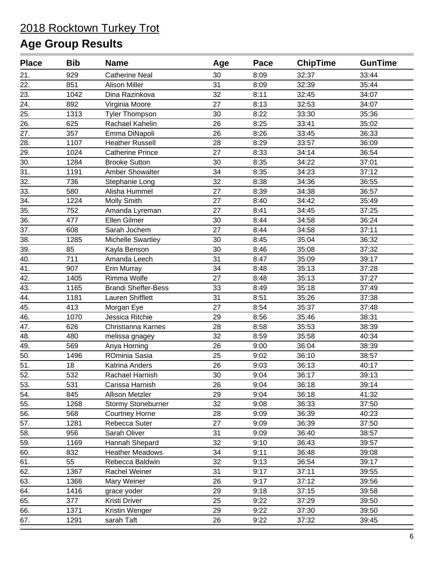| <b>Place</b>    | <b>Bib</b> | <b>Name</b>                | Age | Pace | <b>ChipTime</b> | <b>GunTime</b> |
|-----------------|------------|----------------------------|-----|------|-----------------|----------------|
| 21.             | 929        | <b>Catherine Neal</b>      | 30  | 8:09 | 32:37           | 33:44          |
| 22.             | 851        | <b>Alison Miller</b>       | 31  | 8:09 | 32:39           | 35:44          |
| 23.             | 1042       | Dina Razinkova             | 32  | 8:11 | 32:45           | 34:07          |
| 24.             | 892        | Virginia Moore             | 27  | 8:13 | 32:53           | 34:07          |
| 25.             | 1313       | <b>Tyler Thompson</b>      | 30  | 8:22 | 33:30           | 35:36          |
| 26.             | 625        | Rachael Kahelin            | 26  | 8:25 | 33:41           | 35:02          |
| 27.             | 357        | Emma DiNapoli              | 26  | 8:26 | 33:45           | 36:33          |
| 28.             | 1107       | <b>Heather Russell</b>     | 28  | 8:29 | 33:57           | 36:09          |
| 29.             | 1024       | <b>Catherine Prince</b>    | 27  | 8:33 | 34:14           | 36:54          |
| 30.             | 1284       | <b>Brooke Sutton</b>       | 30  | 8:35 | 34:22           | 37:01          |
| 31.             | 1191       | Amber Showalter            | 34  | 8:35 | 34:23           | 37:12          |
| 32.             | 736        | Stephanie Long             | 32  | 8:38 | 34:36           | 36:55          |
| 33.             | 580        | Alisha Hummel              | 27  | 8:39 | 34:38           | 36:57          |
| 34.             | 1224       | Molly Smith                | 27  | 8:40 | 34:42           | 35:49          |
| 35.             | 752        | Amanda Lyreman             | 27  | 8:41 | 34:45           | 37:25          |
| 36.             | 477        | Ellen Gilmer               | 30  | 8:44 | 34:58           | 36:24          |
| 37.             | 608        | Sarah Jochem               | 27  | 8:44 | 34:58           | 37:11          |
| 38.             | 1285       | <b>Michelle Swartley</b>   | 30  | 8:45 | 35:04           | 36:32          |
| 39.             | 85         | Kayla Benson               | 30  | 8:46 | 35:08           | 37:32          |
| 40.             | 711        | Amanda Leech               | 31  | 8:47 | 35:09           | 39:17          |
| 41.             | 907        | Erin Murray                | 34  | 8:48 | 35:13           | 37:28          |
| 42.             | 1405       | Rimma Wolfe                | 27  | 8:48 | 35:13           | 37:27          |
| 43.             | 1165       | <b>Brandi Sheffer-Bess</b> | 33  | 8:49 | 35:18           | 37:49          |
| 44.             | 1181       | Lauren Shifflett           | 31  | 8:51 | 35:26           | 37:38          |
| 45.             | 413        | Morgan Eye                 | 27  | 8:54 | 35:37           | 37:48          |
| 46.             | 1070       | Jessica Ritchie            | 29  | 8:56 | 35:46           | 38:31          |
| 47.             | 626        | Christianna Karnes         | 28  | 8:58 | 35:53           | 38:39          |
| 48.             | 480        | melissa gnagey             | 32  | 8:59 | 35:58           | 40:34          |
| 49.             | 569        | Anya Horning               | 26  | 9:00 | 36:04           | 38:39          |
| 50.             | 1496       | ROminia Sasia              | 25  | 9:02 | 36:10           | 38:57          |
| $\overline{51}$ | 18         | Katrina Anders             | 26  | 9:03 | 36:13           | 40:17          |
| 52.             | 532        | Rachael Harnish            | 30  | 9:04 | 36:17           | 39:13          |
| 53.             | 531        | Carissa Harnish            | 26  | 9:04 | 36:18           | 39:14          |
| 54.             | 845        | Allison Metzler            | 29  | 9:04 | 36:18           | 41:32          |
| 55.             | 1268       | Stormy Stoneburner         | 32  | 9:08 | 36:33           | 37:50          |
| 56.             | 568        | <b>Courtney Horne</b>      | 28  | 9:09 | 36:39           | 40:23          |
| 57.             | 1281       | Rebecca Suter              | 27  | 9:09 | 36:39           | 37:50          |
| 58.             | 956        | Sarah Oliver               | 31  | 9:09 | 36:40           | 38:57          |
| 59.             | 1169       | Hannah Shepard             | 32  | 9:10 | 36:43           | 39:57          |
| 60.             | 832        | <b>Heather Meadows</b>     | 34  | 9:11 | 36:48           | 39:08          |
| 61.             | 55         | Rebecca Baldwin            | 32  | 9:13 | 36:54           | 39:17          |
| 62.             | 1367       | Rachel Weiner              | 31  | 9:17 | 37:11           | 39:55          |
| 63.             | 1366       | Mary Weiner                | 26  | 9:17 | 37:12           | 39:56          |
| 64.             | 1416       | grace yoder                | 29  | 9:18 | 37:15           | 39:58          |
| 65.             | 377        | Kristi Driver              | 25  | 9:22 | 37:29           | 39:50          |
| 66.             | 1371       | Kristin Wenger             | 29  | 9:22 | 37:30           | 39:50          |
| 67.             | 1291       | sarah Taft                 | 26  | 9:22 | 37:32           | 39:45          |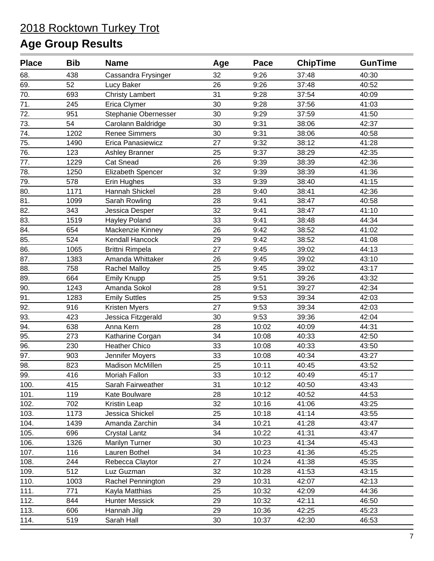| <b>Place</b>      | <b>Bib</b> | <b>Name</b>             | Age | Pace  | <b>ChipTime</b> | <b>GunTime</b> |
|-------------------|------------|-------------------------|-----|-------|-----------------|----------------|
| 68.               | 438        | Cassandra Frysinger     | 32  | 9:26  | 37:48           | 40:30          |
| 69.               | 52         | Lucy Baker              | 26  | 9:26  | 37:48           | 40:52          |
| 70.               | 693        | <b>Christy Lambert</b>  | 31  | 9:28  | 37:54           | 40:09          |
| 71.               | 245        | Erica Clymer            | 30  | 9:28  | 37:56           | 41:03          |
| 72.               | 951        | Stephanie Obernesser    | 30  | 9:29  | 37:59           | 41:50          |
| 73.               | 54         | Carolann Baldridge      | 30  | 9:31  | 38:06           | 42:37          |
| 74.               | 1202       | <b>Renee Simmers</b>    | 30  | 9:31  | 38:06           | 40:58          |
| 75.               | 1490       | Erica Panasiewicz       | 27  | 9:32  | 38:12           | 41:28          |
| $\overline{76}$ . | 123        | Ashley Branner          | 25  | 9:37  | 38:29           | 42:35          |
| 77.               | 1229       | <b>Cat Snead</b>        | 26  | 9:39  | 38:39           | 42:36          |
| 78.               | 1250       | Elizabeth Spencer       | 32  | 9:39  | 38:39           | 41:36          |
| 79.               | 578        | Erin Hughes             | 33  | 9:39  | 38:40           | 41:15          |
| 80.               | 1171       | Hannah Shickel          | 28  | 9:40  | 38:41           | 42:36          |
| 81.               | 1099       | Sarah Rowling           | 28  | 9:41  | 38:47           | 40:58          |
| 82.               | 343        | Jessica Desper          | 32  | 9:41  | 38:47           | 41:10          |
| 83.               | 1519       | <b>Hayley Poland</b>    | 33  | 9:41  | 38:48           | 44:34          |
| 84.               | 654        | Mackenzie Kinney        | 26  | 9:42  | 38:52           | 41:02          |
| 85.               | 524        | Kendall Hancock         | 29  | 9:42  | 38:52           | 41:08          |
| 86.               | 1065       | Brittni Rimpela         | 27  | 9:45  | 39:02           | 44:13          |
| 87.               | 1383       | Amanda Whittaker        | 26  | 9:45  | 39:02           | 43:10          |
| 88.               | 758        | Rachel Malloy           | 25  | 9:45  | 39:02           | 43:17          |
| 89.               | 664        | <b>Emily Knupp</b>      | 25  | 9:51  | 39:26           | 43:32          |
| 90.               | 1243       | Amanda Sokol            | 28  | 9:51  | 39:27           | 42:34          |
| 91.               | 1283       | <b>Emily Suttles</b>    | 25  | 9:53  | 39:34           | 42:03          |
| 92.               | 916        | Kristen Myers           | 27  | 9:53  | 39:34           | 42:03          |
| 93.               | 423        | Jessica Fitzgerald      | 30  | 9:53  | 39:36           | 42:04          |
| 94.               | 638        | Anna Kern               | 28  | 10:02 | 40:09           | 44:31          |
| 95.               | 273        | Katharine Corgan        | 34  | 10:08 | 40:33           | 42:50          |
| 96.               | 230        | <b>Heather Chico</b>    | 33  | 10:08 | 40:33           | 43:50          |
| 97.               | 903        | Jennifer Moyers         | 33  | 10:08 | 40:34           | 43:27          |
| $\overline{98}$ . | 823        | <b>Madison McMillen</b> | 25  | 10:11 | 40:45           | 43:52          |
| 99.               | 416        | Moriah Fallon           | 33  | 10:12 | 40:49           | 45:17          |
| 100.              | 415        | Sarah Fairweather       | 31  | 10:12 | 40:50           | 43:43          |
| 101.              | 119        | Kate Boulware           | 28  | 10:12 | 40:52           | 44:53          |
| 102.              | 702        | Kristin Leap            | 32  | 10:16 | 41:06           | 43:25          |
| 103.              | 1173       | Jessica Shickel         | 25  | 10:18 | 41:14           | 43:55          |
| 104.              | 1439       | Amanda Zarchin          | 34  | 10:21 | 41:28           | 43:47          |
| 105.              | 696        | <b>Crystal Lantz</b>    | 34  | 10:22 | 41:31           | 43:47          |
| 106.              | 1326       | Marilyn Turner          | 30  | 10:23 | 41:34           | 45:43          |
| 107.              | 116        | Lauren Bothel           | 34  | 10:23 | 41:36           | 45:25          |
| 108.              | 244        | Rebecca Claytor         | 27  | 10:24 | 41:38           | 45:35          |
| 109.              | 512        | Luz Guzman              | 32  | 10:28 | 41:53           | 43:15          |
| 110.              | 1003       | Rachel Pennington       | 29  | 10:31 | 42:07           | 42:13          |
| 111.              | 771        | Kayla Matthias          | 25  | 10:32 | 42:09           | 44:36          |
| 112.              | 844        | <b>Hunter Messick</b>   | 29  | 10:32 | 42:11           | 46:50          |
| 113.              | 606        | Hannah Jilg             | 29  | 10:36 | 42:25           | 45:23          |
| 114.              | 519        | Sarah Hall              | 30  | 10:37 | 42:30           | 46:53          |
|                   |            |                         |     |       |                 |                |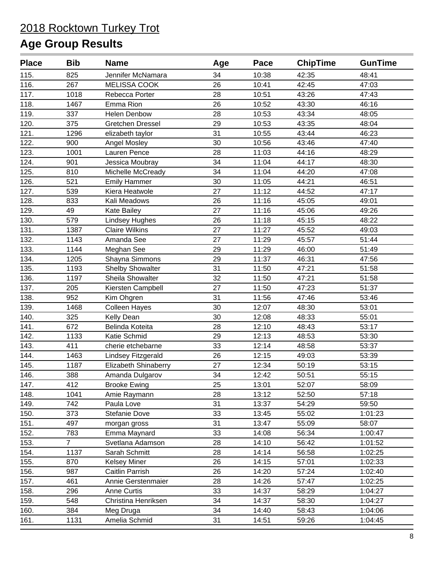| <b>Place</b> | <b>Bib</b>     | <b>Name</b>             | Age | Pace  | <b>ChipTime</b> | <b>GunTime</b> |
|--------------|----------------|-------------------------|-----|-------|-----------------|----------------|
| 115.         | 825            | Jennifer McNamara       | 34  | 10:38 | 42:35           | 48:41          |
| 116.         | 267            | <b>MELISSA COOK</b>     | 26  | 10:41 | 42:45           | 47:03          |
| 117.         | 1018           | Rebecca Porter          | 28  | 10:51 | 43:26           | 47:43          |
| 118.         | 1467           | Emma Rion               | 26  | 10:52 | 43:30           | 46:16          |
| 119.         | 337            | <b>Helen Denbow</b>     | 28  | 10:53 | 43:34           | 48:05          |
| 120.         | 375            | Gretchen Dressel        | 29  | 10:53 | 43:35           | 48:04          |
| 121.         | 1296           | elizabeth taylor        | 31  | 10:55 | 43:44           | 46:23          |
| 122.         | 900            | Angel Mosley            | 30  | 10:56 | 43:46           | 47:40          |
| 123.         | 1001           | Lauren Pence            | 28  | 11:03 | 44:16           | 48:29          |
| 124.         | 901            | Jessica Moubray         | 34  | 11:04 | 44:17           | 48:30          |
| 125.         | 810            | Michelle McCready       | 34  | 11:04 | 44:20           | 47:08          |
| 126.         | 521            | <b>Emily Hammer</b>     | 30  | 11:05 | 44:21           | 46:51          |
| 127.         | 539            | Kiera Heatwole          | 27  | 11:12 | 44:52           | 47:17          |
| 128.         | 833            | Kali Meadows            | 26  | 11:16 | 45:05           | 49:01          |
| 129.         | 49             | Kate Bailey             | 27  | 11:16 | 45:06           | 49:26          |
| 130.         | 579            | <b>Lindsey Hughes</b>   | 26  | 11:18 | 45:15           | 48:22          |
| 131.         | 1387           | <b>Claire Wilkins</b>   | 27  | 11:27 | 45:52           | 49:03          |
| 132.         | 1143           | Amanda See              | 27  | 11:29 | 45:57           | 51:44          |
| 133.         | 1144           | Meghan See              | 29  | 11:29 | 46:00           | 51:49          |
| 134.         | 1205           | Shayna Simmons          | 29  | 11:37 | 46:31           | 47:56          |
| 135.         | 1193           | <b>Shelby Showalter</b> | 31  | 11:50 | 47:21           | 51:58          |
| 136.         | 1197           | Sheila Showalter        | 32  | 11:50 | 47:21           | 51:58          |
| 137.         | 205            | Kiersten Campbell       | 27  | 11:50 | 47:23           | 51:37          |
| 138.         | 952            | Kim Ohgren              | 31  | 11:56 | 47:46           | 53:46          |
| 139.         | 1468           | <b>Colleen Hayes</b>    | 30  | 12:07 | 48:30           | 53:01          |
| 140.         | 325            | Kelly Dean              | 30  | 12:08 | 48:33           | 55:01          |
| 141.         | 672            | Belinda Koteita         | 28  | 12:10 | 48:43           | 53:17          |
| 142.         | 1133           | Katie Schmid            | 29  | 12:13 | 48:53           | 53:30          |
| 143.         | 411            | cherie etchebarne       | 33  | 12:14 | 48:58           | 53:37          |
| 144.         | 1463           | Lindsey Fitzgerald      | 26  | 12:15 | 49:03           | 53:39          |
| 145.         | 1187           | Elizabeth Shinaberry    | 27  | 12:34 | 50:19           | 53:15          |
| 146.         | 388            | Amanda Dulgarov         | 34  | 12:42 | 50:51           | 55:15          |
| 147.         | 412            | <b>Brooke Ewing</b>     | 25  | 13:01 | 52:07           | 58:09          |
| 148.         | 1041           | Amie Raymann            | 28  | 13:12 | 52:50           | 57:18          |
| 149.         | 742            | Paula Love              | 31  | 13:37 | 54:29           | 59:50          |
| 150.         | 373            | Stefanie Dove           | 33  | 13:45 | 55:02           | 1:01:23        |
| 151.         | 497            | morgan gross            | 31  | 13:47 | 55:09           | 58:07          |
| 152.         | 783            | Emma Maynard            | 33  | 14:08 | 56:34           | 1:00:47        |
| 153.         | $\overline{7}$ | Svetlana Adamson        | 28  | 14:10 | 56:42           | 1:01:52        |
| 154.         | 1137           | Sarah Schmitt           | 28  | 14:14 | 56:58           | 1:02:25        |
| 155.         | 870            | <b>Kelsey Miner</b>     | 26  | 14:15 | 57:01           | 1:02:33        |
| 156.         | 987            | Caitlin Parrish         | 26  | 14:20 | 57:24           | 1:02:40        |
| 157.         | 461            | Annie Gerstenmaier      | 28  | 14:26 | 57:47           | 1:02:25        |
| 158.         | 296            | <b>Anne Curtis</b>      | 33  | 14:37 | 58:29           | 1:04:27        |
| 159.         | 548            | Christina Henriksen     | 34  | 14:37 | 58:30           | 1:04:27        |
| 160.         | 384            | Meg Druga               | 34  | 14:40 | 58:43           | 1:04:06        |
| 161.         | 1131           | Amelia Schmid           | 31  | 14:51 | 59:26           | 1:04:45        |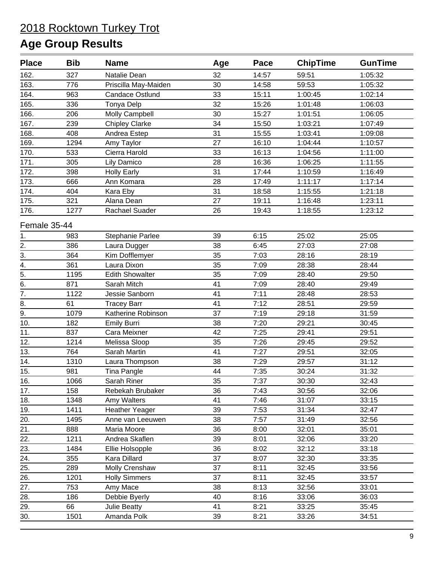| <b>Place</b>     | <b>Bib</b> | <b>Name</b>            | Age | Pace  | <b>ChipTime</b> | <b>GunTime</b> |
|------------------|------------|------------------------|-----|-------|-----------------|----------------|
| 162.             | 327        | Natalie Dean           | 32  | 14:57 | 59:51           | 1:05:32        |
| 163.             | 776        | Priscilla May-Maiden   | 30  | 14:58 | 59:53           | 1:05:32        |
| 164.             | 963        | <b>Candace Ostlund</b> | 33  | 15:11 | 1:00:45         | 1:02:14        |
| 165.             | 336        | Tonya Delp             | 32  | 15:26 | 1:01:48         | 1:06:03        |
| 166.             | 206        | Molly Campbell         | 30  | 15:27 | 1:01:51         | 1:06:05        |
| 167.             | 239        | <b>Chipley Clarke</b>  | 34  | 15:50 | 1:03:21         | 1:07:49        |
| 168.             | 408        | Andrea Estep           | 31  | 15:55 | 1:03:41         | 1:09:08        |
| 169.             | 1294       | Amy Taylor             | 27  | 16:10 | 1:04:44         | 1:10:57        |
| 170.             | 533        | Cierra Harold          | 33  | 16:13 | 1:04:56         | 1:11:00        |
| 171.             | 305        | Lily Damico            | 28  | 16:36 | 1:06:25         | 1:11:55        |
| 172.             | 398        | <b>Holly Early</b>     | 31  | 17:44 | 1:10:59         | 1:16:49        |
| 173.             | 666        | Ann Komara             | 28  | 17:49 | 1:11:17         | 1:17:14        |
| 174.             | 404        | Kara Eby               | 31  | 18:58 | 1:15:55         | 1:21:18        |
| 175.             | 321        | Alana Dean             | 27  | 19:11 | 1:16:48         | 1:23:11        |
| 176.             | 1277       | Rachael Suader         | 26  | 19:43 | 1:18:55         | 1:23:12        |
| Female 35-44     |            |                        |     |       |                 |                |
| 1.               | 983        | Stephanie Parlee       | 39  | 6:15  | 25:02           | 25:05          |
| 2.               | 386        | Laura Dugger           | 38  | 6:45  | 27:03           | 27:08          |
| 3.               | 364        | Kim Dofflemyer         | 35  | 7:03  | 28:16           | 28:19          |
| 4.               | 361        | Laura Dixon            | 35  | 7:09  | 28:38           | 28:44          |
| $\overline{5}$ . | 1195       | <b>Edith Showalter</b> | 35  | 7:09  | 28:40           | 29:50          |
| $\frac{1}{6}$    | 871        | Sarah Mitch            | 41  | 7:09  | 28:40           | 29:49          |
| $\overline{7}$ . | 1122       | Jessie Sanborn         | 41  | 7:11  | 28:48           | 28:53          |
| 8.               | 61         | <b>Tracey Barr</b>     | 41  | 7:12  | 28:51           | 29:59          |
| $\overline{9}$ . | 1079       | Katherine Robinson     | 37  | 7:19  | 29:18           | 31:59          |
| 10.              | 182        | <b>Emily Burri</b>     | 38  | 7:20  | 29:21           | 30:45          |
| 11.              | 837        | Cara Meixner           | 42  | 7:25  | 29:41           | 29:51          |
| 12.              | 1214       | Melissa Sloop          | 35  | 7:26  | 29:45           | 29:52          |
| 13.              | 764        | Sarah Martin           | 41  | 7:27  | 29:51           | 32:05          |
| 14.              | 1310       | Laura Thompson         | 38  | 7:29  | 29:57           | 31:12          |
| 15.              | 981        | Tina Pangle            | 44  | 7:35  | 30:24           | 31:32          |
| 16.              | 1066       | Sarah Riner            | 35  | 7:37  | 30:30           | 32:43          |
| 17.              | 158        | Rebekah Brubaker       | 36  | 7:43  | 30:56           | 32:06          |
| 18.              | 1348       | Amy Walters            | 41  | 7:46  | 31:07           | 33:15          |
| 19.              | 1411       | <b>Heather Yeager</b>  | 39  | 7:53  | 31:34           | 32:47          |
| 20.              | 1495       | Anne van Leeuwen       | 38  | 7:57  | 31:49           | 32:56          |
| 21.              | 888        | Maria Moore            | 36  | 8:00  | 32:01           | 35:01          |
| 22.              | 1211       | Andrea Skaflen         | 39  | 8:01  | 32:06           | 33:20          |
| 23.              | 1484       | Ellie Holsopple        | 36  | 8:02  | 32:12           | 33:18          |
| 24.              | 355        | Kara Dillard           | 37  | 8:07  | 32:30           | 33:35          |
| 25.              | 289        | Molly Crenshaw         | 37  | 8:11  | 32:45           | 33:56          |
| 26.              | 1201       | <b>Holly Simmers</b>   | 37  | 8:11  | 32:45           | 33:57          |
| 27.              | 753        | Amy Mace               | 38  | 8:13  | 32:56           | 33:01          |
| 28.              | 186        | Debbie Byerly          | 40  | 8:16  | 33:06           | 36:03          |
| 29.              | 66         | Julie Beatty           | 41  | 8:21  | 33:25           | 35:45          |
| 30.              | 1501       | Amanda Polk            | 39  | 8:21  | 33:26           | 34:51          |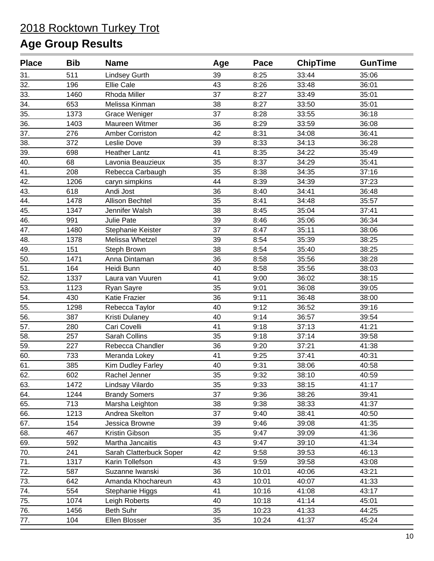| <b>Place</b>      | <b>Bib</b> | <b>Name</b>             | Age | Pace  | <b>ChipTime</b> | <b>GunTime</b> |
|-------------------|------------|-------------------------|-----|-------|-----------------|----------------|
| 31.               | 511        | <b>Lindsey Gurth</b>    | 39  | 8:25  | 33:44           | 35:06          |
| 32.               | 196        | <b>Ellie Cale</b>       | 43  | 8:26  | 33:48           | 36:01          |
| 33.               | 1460       | Rhoda Miller            | 37  | 8:27  | 33:49           | 35:01          |
| 34.               | 653        | Melissa Kinman          | 38  | 8:27  | 33:50           | 35:01          |
| 35.               | 1373       | <b>Grace Weniger</b>    | 37  | 8:28  | 33:55           | 36:18          |
| 36.               | 1403       | Maureen Witmer          | 36  | 8:29  | 33:59           | 36:08          |
| 37.               | 276        | <b>Amber Corriston</b>  | 42  | 8:31  | 34:08           | 36:41          |
| 38.               | 372        | Leslie Dove             | 39  | 8:33  | 34:13           | 36:28          |
| $\overline{39}$ . | 698        | <b>Heather Lantz</b>    | 41  | 8:35  | 34:22           | 35:49          |
| 40.               | 68         | Lavonia Beauzieux       | 35  | 8:37  | 34:29           | 35:41          |
| 41.               | 208        | Rebecca Carbaugh        | 35  | 8:38  | 34:35           | 37:16          |
| 42.               | 1206       | caryn simpkins          | 44  | 8:39  | 34:39           | 37:23          |
| 43.               | 618        | Andi Jost               | 36  | 8:40  | 34:41           | 36:48          |
| 44.               | 1478       | <b>Allison Bechtel</b>  | 35  | 8:41  | 34:48           | 35:57          |
| 45.               | 1347       | Jennifer Walsh          | 38  | 8:45  | 35:04           | 37:41          |
| 46.               | 991        | Julie Pate              | 39  | 8:46  | 35:06           | 36:34          |
| 47.               | 1480       | Stephanie Keister       | 37  | 8:47  | 35:11           | 38:06          |
| 48.               | 1378       | Melissa Whetzel         | 39  | 8:54  | 35:39           | 38:25          |
| 49.               | 151        | Steph Brown             | 38  | 8:54  | 35:40           | 38:25          |
| 50.               | 1471       | Anna Dintaman           | 36  | 8:58  | 35:56           | 38:28          |
| 51.               | 164        | Heidi Bunn              | 40  | 8:58  | 35:56           | 38:03          |
| 52.               | 1337       | Laura van Vuuren        | 41  | 9:00  | 36:02           | 38:15          |
| 53.               | 1123       | Ryan Sayre              | 35  | 9:01  | 36:08           | 39:05          |
| 54.               | 430        | Katie Frazier           | 36  | 9:11  | 36:48           | 38:00          |
| 55.               | 1298       | Rebecca Taylor          | 40  | 9:12  | 36:52           | 39:16          |
| 56.               | 387        | Kristi Dulaney          | 40  | 9:14  | 36:57           | 39:54          |
| 57.               | 280        | Cari Covelli            | 41  | 9:18  | 37:13           | 41:21          |
| 58.               | 257        | Sarah Collins           | 35  | 9:18  | 37:14           | 39:58          |
| 59.               | 227        | Rebecca Chandler        | 36  | 9:20  | 37:21           | 41:38          |
| 60.               | 733        | Meranda Lokey           | 41  | 9:25  | 37:41           | 40:31          |
| 61.               | 385        | Kim Dudley Farley       | 40  | 9:31  | 38:06           | 40:58          |
| 62.               | 602        | Rachel Jenner           | 35  | 9:32  | 38:10           | 40:59          |
| 63.               | 1472       | Lindsay Vilardo         | 35  | 9:33  | 38:15           | 41:17          |
| 64.               | 1244       | <b>Brandy Somers</b>    | 37  | 9:36  | 38:26           | 39:41          |
| 65.               | 713        | Marsha Leighton         | 38  | 9:38  | 38:33           | 41:37          |
| 66.               | 1213       | Andrea Skelton          | 37  | 9:40  | 38:41           | 40:50          |
| 67.               | 154        | Jessica Browne          | 39  | 9:46  | 39:08           | 41:35          |
| 68.               | 467        | Kristin Gibson          | 35  | 9:47  | 39:09           | 41:36          |
| 69.               | 592        | Martha Jancaitis        | 43  | 9:47  | 39:10           | 41:34          |
| 70.               | 241        | Sarah Clatterbuck Soper | 42  | 9:58  | 39:53           | 46:13          |
| 71.               | 1317       | Karin Tollefson         | 43  | 9:59  | 39:58           | 43:08          |
| 72.               | 587        | Suzanne Iwanski         | 36  | 10:01 | 40:06           | 43:21          |
| 73.               | 642        | Amanda Khochareun       | 43  | 10:01 | 40:07           | 41:33          |
| 74.               | 554        | Stephanie Higgs         | 41  | 10:16 | 41:08           | 43:17          |
| 75.               | 1074       | Leigh Roberts           | 40  | 10:18 | 41:14           | 45:01          |
| 76.               | 1456       | Beth Suhr               | 35  | 10:23 | 41:33           | 44:25          |
| 77.               | 104        | Ellen Blosser           | 35  | 10:24 | 41:37           | 45:24          |
|                   |            |                         |     |       |                 |                |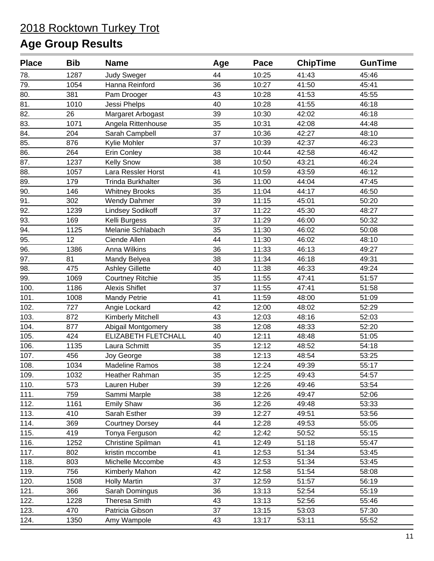| <b>Place</b> | <b>Bib</b> | <b>Name</b>                | Age | Pace  | <b>ChipTime</b> | <b>GunTime</b> |
|--------------|------------|----------------------------|-----|-------|-----------------|----------------|
| 78.          | 1287       | <b>Judy Sweger</b>         | 44  | 10:25 | 41:43           | 45:46          |
| 79.          | 1054       | Hanna Reinford             | 36  | 10:27 | 41:50           | 45:41          |
| 80.          | 381        | Pam Drooger                | 43  | 10:28 | 41:53           | 45:55          |
| 81.          | 1010       | Jessi Phelps               | 40  | 10:28 | 41:55           | 46:18          |
| 82.          | 26         | Margaret Arbogast          | 39  | 10:30 | 42:02           | 46:18          |
| 83.          | 1071       | Angela Rittenhouse         | 35  | 10:31 | 42:08           | 44:48          |
| 84.          | 204        | Sarah Campbell             | 37  | 10:36 | 42:27           | 48:10          |
| 85.          | 876        | Kylie Mohler               | 37  | 10:39 | 42:37           | 46:23          |
| 86.          | 264        | Erin Conley                | 38  | 10:44 | 42:58           | 46:42          |
| 87.          | 1237       | <b>Kelly Snow</b>          | 38  | 10:50 | 43:21           | 46:24          |
| 88.          | 1057       | Lara Ressler Horst         | 41  | 10:59 | 43:59           | 46:12          |
| 89.          | 179        | <b>Trinda Burkhalter</b>   | 36  | 11:00 | 44:04           | 47:45          |
| 90.          | 146        | <b>Whitney Brooks</b>      | 35  | 11:04 | 44:17           | 46:50          |
| 91.          | 302        | <b>Wendy Dahmer</b>        | 39  | 11:15 | 45:01           | 50:20          |
| 92.          | 1239       | <b>Lindsey Sodikoff</b>    | 37  | 11:22 | 45:30           | 48:27          |
| 93.          | 169        | Kelli Burgess              | 37  | 11:29 | 46:00           | 50:32          |
| 94.          | 1125       | Melanie Schlabach          | 35  | 11:30 | 46:02           | 50:08          |
| 95.          | 12         | Ciende Allen               | 44  | 11:30 | 46:02           | 48:10          |
| 96.          | 1386       | Anna Wilkins               | 36  | 11:33 | 46:13           | 49:27          |
| 97.          | 81         | Mandy Belyea               | 38  | 11:34 | 46:18           | 49:31          |
| 98.          | 475        | <b>Ashley Gillette</b>     | 40  | 11:38 | 46:33           | 49:24          |
| 99.          | 1069       | <b>Courtney Ritchie</b>    | 35  | 11:55 | 47:41           | 51:57          |
| 100.         | 1186       | <b>Alexis Shiflet</b>      | 37  | 11:55 | 47:41           | 51:58          |
| 101.         | 1008       | <b>Mandy Petrie</b>        | 41  | 11:59 | 48:00           | 51:09          |
| 102.         | 727        | Angie Lockard              | 42  | 12:00 | 48:02           | 52:29          |
| 103.         | 872        | Kimberly Mitchell          | 43  | 12:03 | 48:16           | 52:03          |
| 104.         | 877        | Abigail Montgomery         | 38  | 12:08 | 48:33           | 52:20          |
| 105.         | 424        | <b>ELIZABETH FLETCHALL</b> | 40  | 12:11 | 48:48           | 51:05          |
| 106.         | 1135       | Laura Schmitt              | 35  | 12:12 | 48:52           | 54:18          |
| 107.         | 456        | Joy George                 | 38  | 12:13 | 48:54           | 53:25          |
| 108.         | 1034       | Madeline Ramos             | 38  | 12:24 | 49:39           | 55:17          |
| 109.         | 1032       | Heather Rahman             | 35  | 12:25 | 49:43           | 54:57          |
| 110.         | 573        | Lauren Huber               | 39  | 12:26 | 49:46           | 53:54          |
| 111.         | 759        | Sammi Marple               | 38  | 12:26 | 49:47           | 52:06          |
| 112.         | 1161       | <b>Emily Shaw</b>          | 36  | 12:26 | 49:48           | 53:33          |
| 113.         | 410        | Sarah Esther               | 39  | 12:27 | 49:51           | 53:56          |
| 114.         | 369        | <b>Courtney Dorsey</b>     | 44  | 12:28 | 49:53           | 55:05          |
| 115.         | 419        | Tonya Ferguson             | 42  | 12:42 | 50:52           | 55:15          |
| 116.         | 1252       | Christine Spilman          | 41  | 12:49 | 51:18           | 55:47          |
| 117.         | 802        | kristin mccombe            | 41  | 12:53 | 51:34           | 53:45          |
| 118.         | 803        | Michelle Mccombe           | 43  | 12:53 | 51:34           | 53:45          |
| 119.         | 756        | Kimberly Mahon             | 42  | 12:58 | 51:54           | 58:08          |
| 120.         | 1508       | <b>Holly Martin</b>        | 37  | 12:59 | 51:57           | 56:19          |
| 121.         | 366        | Sarah Domingus             | 36  | 13:13 | 52:54           | 55:19          |
| 122.         | 1228       | <b>Theresa Smith</b>       | 43  | 13:13 | 52:56           | 55:46          |
| 123.         | 470        | Patricia Gibson            | 37  | 13:15 | 53:03           | 57:30          |
| 124.         | 1350       | Amy Wampole                | 43  | 13:17 | 53:11           | 55:52          |
|              |            |                            |     |       |                 |                |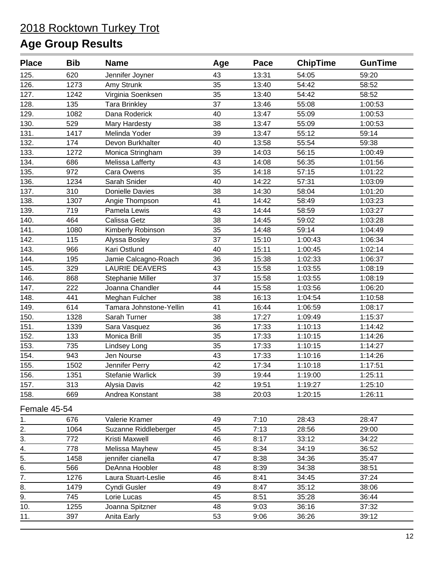| <b>Place</b>     | <b>Bib</b> | <b>Name</b>             | Age | Pace  | <b>ChipTime</b> | <b>GunTime</b> |
|------------------|------------|-------------------------|-----|-------|-----------------|----------------|
| 125.             | 620        | Jennifer Joyner         | 43  | 13:31 | 54:05           | 59:20          |
| 126.             | 1273       | Amy Strunk              | 35  | 13:40 | 54:42           | 58:52          |
| 127.             | 1242       | Virginia Soenksen       | 35  | 13:40 | 54:42           | 58:52          |
| 128.             | 135        | <b>Tara Brinkley</b>    | 37  | 13:46 | 55:08           | 1:00:53        |
| 129.             | 1082       | Dana Roderick           | 40  | 13:47 | 55:09           | 1:00:53        |
| 130.             | 529        | Mary Hardesty           | 38  | 13:47 | 55:09           | 1:00:53        |
| 131.             | 1417       | Melinda Yoder           | 39  | 13:47 | 55:12           | 59:14          |
| 132.             | 174        | Devon Burkhalter        | 40  | 13:58 | 55:54           | 59:38          |
| 133.             | 1272       | Monica Stringham        | 39  | 14:03 | 56:15           | 1:00:49        |
| 134.             | 686        | Melissa Lafferty        | 43  | 14:08 | 56:35           | 1:01:56        |
| 135.             | 972        | Cara Owens              | 35  | 14:18 | 57:15           | 1:01:22        |
| 136.             | 1234       | Sarah Snider            | 40  | 14:22 | 57:31           | 1:03:09        |
| 137.             | 310        | Donielle Davies         | 38  | 14:30 | 58:04           | 1:01:20        |
| 138.             | 1307       | Angie Thompson          | 41  | 14:42 | 58:49           | 1:03:23        |
| 139.             | 719        | Pamela Lewis            | 43  | 14:44 | 58:59           | 1:03:27        |
| 140.             | 464        | Calissa Getz            | 38  | 14:45 | 59:02           | 1:03:28        |
| 141.             | 1080       | Kimberly Robinson       | 35  | 14:48 | 59:14           | 1:04:49        |
| 142.             | 115        | Alyssa Bosley           | 37  | 15:10 | 1:00:43         | 1:06:34        |
| 143.             | 966        | Kari Ostlund            | 40  | 15:11 | 1:00:45         | 1:02:14        |
| 144.             | 195        | Jamie Calcagno-Roach    | 36  | 15:38 | 1:02:33         | 1:06:37        |
| 145.             | 329        | <b>LAURIE DEAVERS</b>   | 43  | 15:58 | 1:03:55         | 1:08:19        |
| 146.             | 868        | Stephanie Miller        | 37  | 15:58 | 1:03:55         | 1:08:19        |
| 147.             | 222        | Joanna Chandler         | 44  | 15:58 | 1:03:56         | 1:06:20        |
| 148.             | 441        | Meghan Fulcher          | 38  | 16:13 | 1:04:54         | 1:10:58        |
| 149.             | 614        | Tamara Johnstone-Yellin | 41  | 16:44 | 1:06:59         | 1:08:17        |
| 150.             | 1328       | Sarah Turner            | 38  | 17:27 | 1:09:49         | 1:15:37        |
| 151.             | 1339       | Sara Vasquez            | 36  | 17:33 | 1:10:13         | 1:14:42        |
| 152.             | 133        | Monica Brill            | 35  | 17:33 | 1:10:15         | 1:14:26        |
| 153.             | 735        | Lindsey Long            | 35  | 17:33 | 1:10:15         | 1:14:27        |
| 154.             | 943        | Jen Nourse              | 43  | 17:33 | 1:10:16         | 1:14:26        |
| 155.             | 1502       | Jennifer Perry          | 42  | 17:34 | 1:10:18         | 1:17:51        |
| 156.             | 1351       | Stefanie Warlick        | 39  | 19:44 | 1:19:00         | 1:25:11        |
| 157.             | 313        | Alysia Davis            | 42  | 19:51 | 1:19:27         | 1:25:10        |
| 158.             | 669        | Andrea Konstant         | 38  | 20:03 | 1:20:15         | 1:26:11        |
| Female 45-54     |            |                         |     |       |                 |                |
| 1.               | 676        | Valerie Kramer          | 49  | 7:10  | 28:43           | 28:47          |
| 2.               | 1064       | Suzanne Riddleberger    | 45  | 7:13  | 28:56           | 29:00          |
| 3.               | 772        | Kristi Maxwell          | 46  | 8:17  | 33:12           | 34:22          |
| 4.               | 778        | Melissa Mayhew          | 45  | 8:34  | 34:19           | 36:52          |
| 5.               | 1458       | jennifer cianella       | 47  | 8:38  | 34:36           | 35:47          |
| 6.               | 566        | DeAnna Hoobler          | 48  | 8:39  | 34:38           | 38:51          |
| $\overline{7}$ . | 1276       | Laura Stuart-Leslie     | 46  | 8:41  | 34:45           | 37:24          |
| 8.               | 1479       | Cyndi Gusler            | 49  | 8:47  | 35:12           | 38:06          |
| 9.               | 745        | Lorie Lucas             | 45  | 8:51  | 35:28           | 36:44          |
| 10.              | 1255       | Joanna Spitzner         | 48  | 9:03  | 36:16           | 37:32          |
| 11.              | 397        | Anita Early             | 53  | 9:06  | 36:26           | 39:12          |
|                  |            |                         |     |       |                 |                |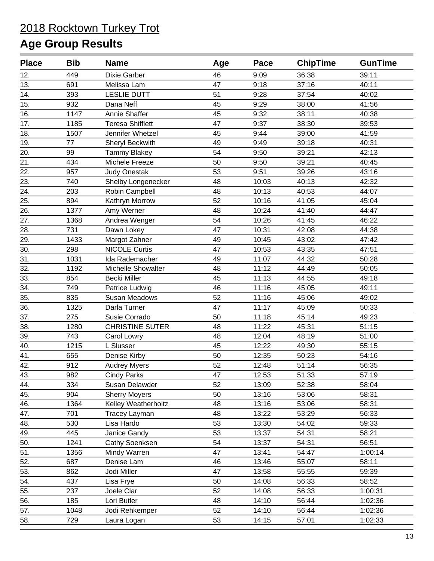| <b>Place</b> | <b>Bib</b> | <b>Name</b>             | Age | Pace  | <b>ChipTime</b> | <b>GunTime</b> |
|--------------|------------|-------------------------|-----|-------|-----------------|----------------|
| 12.          | 449        | <b>Dixie Garber</b>     | 46  | 9:09  | 36:38           | 39:11          |
| 13.          | 691        | Melissa Lam             | 47  | 9:18  | 37:16           | 40:11          |
| 14.          | 393        | <b>LESLIE DUTT</b>      | 51  | 9:28  | 37:54           | 40:02          |
| 15.          | 932        | Dana Neff               | 45  | 9:29  | 38:00           | 41:56          |
| 16.          | 1147       | Annie Shaffer           | 45  | 9:32  | 38:11           | 40:38          |
| 17.          | 1185       | <b>Teresa Shifflett</b> | 47  | 9:37  | 38:30           | 39:53          |
| 18.          | 1507       | Jennifer Whetzel        | 45  | 9:44  | 39:00           | 41:59          |
| 19.          | 77         | Sheryl Beckwith         | 49  | 9:49  | 39:18           | 40:31          |
| 20.          | 99         | <b>Tammy Blakey</b>     | 54  | 9:50  | 39:21           | 42:13          |
| 21.          | 434        | Michele Freeze          | 50  | 9:50  | 39:21           | 40:45          |
| 22.          | 957        | <b>Judy Onestak</b>     | 53  | 9:51  | 39:26           | 43:16          |
| 23.          | 740        | Shelby Longenecker      | 48  | 10:03 | 40:13           | 42:32          |
| 24.          | 203        | Robin Campbell          | 48  | 10:13 | 40:53           | 44:07          |
| 25.          | 894        | Kathryn Morrow          | 52  | 10:16 | 41:05           | 45:04          |
| 26.          | 1377       | Amy Werner              | 48  | 10:24 | 41:40           | 44:47          |
| 27.          | 1368       | Andrea Wenger           | 54  | 10:26 | 41:45           | 46:22          |
| 28.          | 731        | Dawn Lokey              | 47  | 10:31 | 42:08           | 44:38          |
| 29.          | 1433       | Margot Zahner           | 49  | 10:45 | 43:02           | 47:42          |
| 30.          | 298        | <b>NICOLE Curtis</b>    | 47  | 10:53 | 43:35           | 47:51          |
| 31.          | 1031       | Ida Rademacher          | 49  | 11:07 | 44:32           | 50:28          |
| 32.          | 1192       | Michelle Showalter      | 48  | 11:12 | 44:49           | 50:05          |
| 33.          | 854        | <b>Becki Miller</b>     | 45  | 11:13 | 44:55           | 49:18          |
| 34.          | 749        | Patrice Ludwig          | 46  | 11:16 | 45:05           | 49:11          |
| 35.          | 835        | Susan Meadows           | 52  | 11:16 | 45:06           | 49:02          |
| 36.          | 1325       | Darla Turner            | 47  | 11:17 | 45:09           | 50:33          |
| 37.          | 275        | Susie Corrado           | 50  | 11:18 | 45:14           | 49:23          |
| 38.          | 1280       | <b>CHRISTINE SUTER</b>  | 48  | 11:22 | 45:31           | 51:15          |
| 39.          | 743        | Carol Lowry             | 48  | 12:04 | 48:19           | 51:00          |
| 40.          | 1215       | L Slusser               | 45  | 12:22 | 49:30           | 55:15          |
| 41.          | 655        | Denise Kirby            | 50  | 12:35 | 50:23           | 54:16          |
| 42.          | 912        | <b>Audrey Myers</b>     | 52  | 12:48 | 51:14           | 56:35          |
| 43.          | 982        | <b>Cindy Parks</b>      | 47  | 12:53 | 51:33           | 57:19          |
| 44.          | 334        | Susan Delawder          | 52  | 13:09 | 52:38           | 58:04          |
| 45.          | 904        | <b>Sherry Moyers</b>    | 50  | 13:16 | 53:06           | 58:31          |
| 46.          | 1364       | Kelley Weatherholtz     | 48  | 13:16 | 53:06           | 58:31          |
| 47.          | 701        | <b>Tracey Layman</b>    | 48  | 13:22 | 53:29           | 56:33          |
| 48.          | 530        | Lisa Hardo              | 53  | 13:30 | 54:02           | 59:33          |
| 49.          | 445        | Janice Gandy            | 53  | 13:37 | 54:31           | 58:21          |
| 50.          | 1241       | Cathy Soenksen          | 54  | 13:37 | 54:31           | 56:51          |
| 51.          | 1356       | Mindy Warren            | 47  | 13:41 | 54:47           | 1:00:14        |
| 52.          | 687        | Denise Lam              | 46  | 13:46 | 55:07           | 58:11          |
| 53.          | 862        | Jodi Miller             | 47  | 13:58 | 55:55           | 59:39          |
| 54.          | 437        | Lisa Frye               | 50  | 14:08 | 56:33           | 58:52          |
| 55.          | 237        | Joele Clar              | 52  | 14:08 | 56:33           | 1:00:31        |
| 56.          | 185        | Lori Butler             | 48  | 14:10 | 56:44           | 1:02:36        |
| 57.          | 1048       | Jodi Rehkemper          | 52  | 14:10 | 56:44           | 1:02:36        |
| 58.          | 729        | Laura Logan             | 53  | 14:15 | 57:01           | 1:02:33        |
|              |            |                         |     |       |                 |                |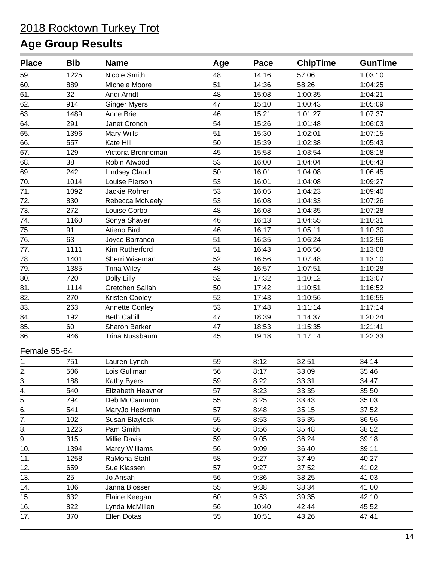| <b>Place</b>      | <b>Bib</b> | <b>Name</b>           | Age | Pace  | <b>ChipTime</b> | <b>GunTime</b> |
|-------------------|------------|-----------------------|-----|-------|-----------------|----------------|
| 59.               | 1225       | Nicole Smith          | 48  | 14:16 | 57:06           | 1:03:10        |
| 60.               | 889        | Michele Moore         | 51  | 14:36 | 58:26           | 1:04:25        |
| 61.               | 32         | Andi Arndt            | 48  | 15:08 | 1:00:35         | 1:04:21        |
| 62.               | 914        | <b>Ginger Myers</b>   | 47  | 15:10 | 1:00:43         | 1:05:09        |
| 63.               | 1489       | Anne Brie             | 46  | 15:21 | 1:01:27         | 1:07:37        |
| 64.               | 291        | Janet Cronch          | 54  | 15:26 | 1:01:48         | 1:06:03        |
| 65.               | 1396       | Mary Wills            | 51  | 15:30 | 1:02:01         | 1:07:15        |
| 66.               | 557        | Kate Hill             | 50  | 15:39 | 1:02:38         | 1:05:43        |
| 67.               | 129        | Victoria Brenneman    | 45  | 15:58 | 1:03:54         | 1:08:18        |
| 68.               | 38         | Robin Atwood          | 53  | 16:00 | 1:04:04         | 1:06:43        |
| 69.               | 242        | <b>Lindsey Claud</b>  | 50  | 16:01 | 1:04:08         | 1:06:45        |
| 70.               | 1014       | Louise Pierson        | 53  | 16:01 | 1:04:08         | 1:09:27        |
| $\overline{71}$ . | 1092       | Jackie Rohrer         | 53  | 16:05 | 1:04:23         | 1:09:40        |
| 72.               | 830        | Rebecca McNeely       | 53  | 16:08 | 1:04:33         | 1:07:26        |
| 73.               | 272        | Louise Corbo          | 48  | 16:08 | 1:04:35         | 1:07:28        |
| 74.               | 1160       | Sonya Shaver          | 46  | 16:13 | 1:04:55         | 1:10:31        |
| 75.               | 91         | Atieno Bird           | 46  | 16:17 | 1:05:11         | 1:10:30        |
| 76.               | 63         | Joyce Barranco        | 51  | 16:35 | 1:06:24         | 1:12:56        |
| 77.               | 1111       | Kim Rutherford        | 51  | 16:43 | 1:06:56         | 1:13:08        |
| 78.               | 1401       | Sherri Wiseman        | 52  | 16:56 | 1:07:48         | 1:13:10        |
| 79.               | 1385       | <b>Trina Wiley</b>    | 48  | 16:57 | 1:07:51         | 1:10:28        |
| 80.               | 720        | Dolly Lilly           | 52  | 17:32 | 1:10:12         | 1:13:07        |
| 81.               | 1114       | Gretchen Sallah       | 50  | 17:42 | 1:10:51         | 1:16:52        |
| 82.               | 270        | Kristen Cooley        | 52  | 17:43 | 1:10:56         | 1:16:55        |
| 83.               | 263        | <b>Annette Conley</b> | 53  | 17:48 | 1:11:14         | 1:17:14        |
| 84.               | 192        | <b>Beth Cahill</b>    | 47  | 18:39 | 1:14:37         | 1:20:24        |
| 85.               | 60         | Sharon Barker         | 47  | 18:53 | 1:15:35         | 1:21:41        |
| 86.               | 946        | Trina Nussbaum        | 45  | 19:18 | 1:17:14         | 1:22:33        |
| Female 55-64      |            |                       |     |       |                 |                |
| 1.                | 751        | Lauren Lynch          | 59  | 8:12  | 32:51           | 34:14          |
| 2.                | 506        | Lois Gullman          | 56  | 8:17  | 33:09           | 35:46          |
|                   | 188        | Kathy Byers           | 59  | 8:22  | 33:31           | 34:47          |
| $rac{3}{4}$ .     | 540        | Elizabeth Heavner     | 57  | 8:23  | 33:35           | 35:50          |
| 5.                | 794        | Deb McCammon          | 55  | 8:25  | 33:43           | 35:03          |
| 6.                | 541        | MaryJo Heckman        | 57  | 8:48  | 35:15           | 37:52          |
| 7.                | 102        | Susan Blaylock        | 55  | 8:53  | 35:35           | 36:56          |
| $\overline{8}$ .  | 1226       | Pam Smith             | 56  | 8:56  | 35:48           | 38:52          |
| $\overline{9}$ .  | 315        | Millie Davis          | 59  | 9:05  | 36:24           | 39:18          |
| 10.               | 1394       | <b>Marcy Williams</b> | 56  | 9:09  | 36:40           | 39:11          |
| 11.               | 1258       | RaMona Stahl          | 58  | 9:27  | 37:49           | 40:27          |
| 12.               | 659        | Sue Klassen           | 57  | 9:27  | 37:52           | 41:02          |
| 13.               | 25         | Jo Ansah              | 56  | 9:36  | 38:25           | 41:03          |
| 14.               | 106        | Janna Blosser         | 55  | 9:38  | 38:34           | 41:00          |
| 15.               | 632        | Elaine Keegan         | 60  | 9:53  | 39:35           | 42:10          |
| 16.               | 822        | Lynda McMillen        | 56  | 10:40 | 42:44           | 45:52          |
| 17.               | 370        | Ellen Dotas           | 55  | 10:51 | 43:26           | 47:41          |
|                   |            |                       |     |       |                 |                |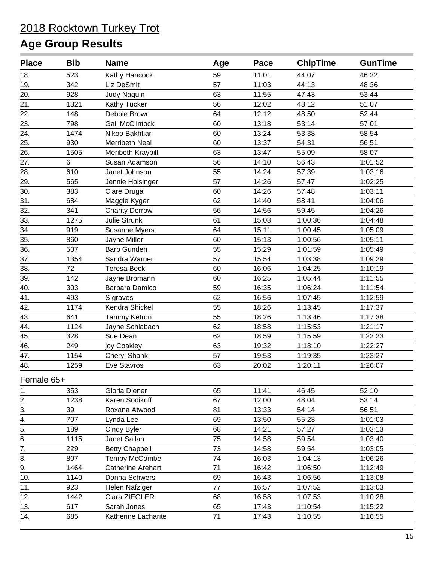| <b>Place</b>     | <b>Bib</b> | <b>Name</b>           | Age | Pace  | <b>ChipTime</b> | <b>GunTime</b> |
|------------------|------------|-----------------------|-----|-------|-----------------|----------------|
| 18.              | 523        | Kathy Hancock         | 59  | 11:01 | 44:07           | 46:22          |
| 19.              | 342        | Liz DeSmit            | 57  | 11:03 | 44:13           | 48:36          |
| 20.              | 928        | <b>Judy Naquin</b>    | 63  | 11:55 | 47:43           | 53:44          |
| 21.              | 1321       | Kathy Tucker          | 56  | 12:02 | 48:12           | 51:07          |
| 22.              | 148        | Debbie Brown          | 64  | 12:12 | 48:50           | 52:44          |
| 23.              | 798        | Gail McClintock       | 60  | 13:18 | 53:14           | 57:01          |
| 24.              | 1474       | Nikoo Bakhtiar        | 60  | 13:24 | 53:38           | 58:54          |
| 25.              | 930        | Merribeth Neal        | 60  | 13:37 | 54:31           | 56:51          |
| 26.              | 1505       | Meribeth Kraybill     | 63  | 13:47 | 55:09           | 58:07          |
| 27.              | $\,6$      | Susan Adamson         | 56  | 14:10 | 56:43           | 1:01:52        |
| 28.              | 610        | Janet Johnson         | 55  | 14:24 | 57:39           | 1:03:16        |
| 29.              | 565        | Jennie Holsinger      | 57  | 14:26 | 57:47           | 1:02:25        |
| 30.              | 383        | Clare Druga           | 60  | 14:26 | 57:48           | 1:03:11        |
| 31.              | 684        | Maggie Kyger          | 62  | 14:40 | 58:41           | 1:04:06        |
| 32.              | 341        | <b>Charity Derrow</b> | 56  | 14:56 | 59:45           | 1:04:26        |
| 33.              | 1275       | Julie Strunk          | 61  | 15:08 | 1:00:36         | 1:04:48        |
| 34.              | 919        | <b>Susanne Myers</b>  | 64  | 15:11 | 1:00:45         | 1:05:09        |
| 35.              | 860        | Jayne Miller          | 60  | 15:13 | 1:00:56         | 1:05:11        |
| 36.              | 507        | <b>Barb Gunden</b>    | 55  | 15:29 | 1:01:59         | 1:05:49        |
| 37.              | 1354       | Sandra Warner         | 57  | 15:54 | 1:03:38         | 1:09:29        |
| 38.              | 72         | <b>Teresa Beck</b>    | 60  | 16:06 | 1:04:25         | 1:10:19        |
| 39.              | 142        | Jayne Bromann         | 60  | 16:25 | 1:05:44         | 1:11:55        |
| 40.              | 303        | Barbara Damico        | 59  | 16:35 | 1:06:24         | 1:11:54        |
| 41.              | 493        | S graves              | 62  | 16:56 | 1:07:45         | 1:12:59        |
| 42.              | 1174       | Kendra Shickel        | 55  | 18:26 | 1:13:45         | 1:17:37        |
| 43.              | 641        | <b>Tammy Ketron</b>   | 55  | 18:26 | 1:13:46         | 1:17:38        |
| 44.              | 1124       | Jayne Schlabach       | 62  | 18:58 | 1:15:53         | 1:21:17        |
| 45.              | 328        | Sue Dean              | 62  | 18:59 | 1:15:59         | 1:22:23        |
| 46.              | 249        | joy Coakley           | 63  | 19:32 | 1:18:10         | 1:22:27        |
| 47.              | 1154       | Cheryl Shank          | 57  | 19:53 | 1:19:35         | 1:23:27        |
| 48.              | 1259       | Eve Stavros           | 63  | 20:02 | 1:20:11         | 1:26:07        |
| Female 65+       |            |                       |     |       |                 |                |
| 1.               | 353        | Gloria Diener         | 65  | 11:41 | 46:45           | 52:10          |
| 2.               | 1238       | Karen Sodikoff        | 67  | 12:00 | 48:04           | 53:14          |
| 3.               | 39         | Roxana Atwood         | 81  | 13:33 | 54:14           | 56:51          |
| 4.               | 707        | Lynda Lee             | 69  | 13:50 | 55:23           | 1:01:03        |
| $\overline{5}$ . | 189        | Cindy Byler           | 68  | 14:21 | 57:27           | 1:03:13        |
| 6.               | 1115       | Janet Sallah          | 75  | 14:58 | 59:54           | 1:03:40        |
| $\overline{7}$ . | 229        | <b>Betty Chappell</b> | 73  | 14:58 | 59:54           | 1:03:05        |
| 8.               | 807        | Tempy McCombe         | 74  | 16:03 | 1:04:13         | 1:06:26        |
| $\overline{9}$ . | 1464       | Catherine Arehart     | 71  | 16:42 | 1:06:50         | 1:12:49        |
| 10.              | 1140       | Donna Schwers         | 69  | 16:43 | 1:06:56         | 1:13:08        |
| 11.              | 923        | Helen Nafziger        | 77  | 16:57 | 1:07:52         | 1:13:03        |
| 12.              | 1442       | Clara ZIEGLER         | 68  | 16:58 | 1:07:53         | 1:10:28        |
| 13.              | 617        | Sarah Jones           | 65  | 17:43 | 1:10:54         | 1:15:22        |
| 14.              | 685        | Katherine Lacharite   | 71  | 17:43 | 1:10:55         | 1:16:55        |
|                  |            |                       |     |       |                 |                |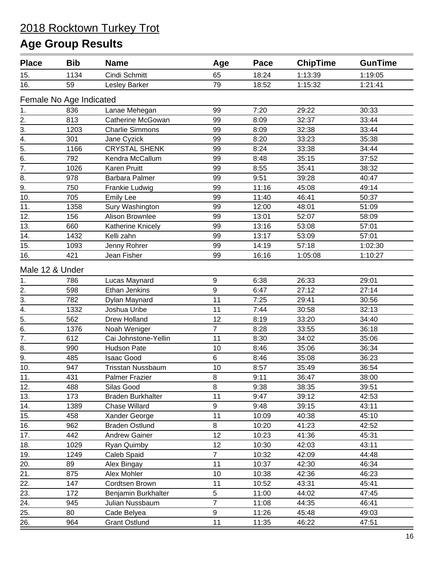| <b>Place</b>     | <b>Bib</b>              | <b>Name</b>              | Age            | Pace  | <b>ChipTime</b> | <b>GunTime</b> |
|------------------|-------------------------|--------------------------|----------------|-------|-----------------|----------------|
| 15.              | 1134                    | Cindi Schmitt            | 65             | 18:24 | 1:13:39         | 1:19:05        |
| 16.              | 59                      | Lesley Barker            | 79             | 18:52 | 1:15:32         | 1:21:41        |
|                  | Female No Age Indicated |                          |                |       |                 |                |
| 1.               | 836                     | Lanae Mehegan            | 99             | 7:20  | 29:22           | 30:33          |
| 2.               | 813                     | Catherine McGowan        | 99             | 8:09  | 32:37           | 33:44          |
| 3.               | 1203                    | <b>Charlie Simmons</b>   | 99             | 8:09  | 32:38           | 33:44          |
| 4.               | 301                     | Jane Cyzick              | 99             | 8:20  | 33:23           | 35:38          |
| 5.               | 1166                    | <b>CRYSTAL SHENK</b>     | 99             | 8:24  | 33:38           | 34:44          |
| 6.               | 792                     | Kendra McCallum          | 99             | 8:48  | 35:15           | 37:52          |
| $\overline{7}$ . | 1026                    | Karen Pruitt             | 99             | 8:55  | 35:41           | 38:32          |
| 8.               | 978                     | Barbara Palmer           | 99             | 9:51  | 39:28           | 40:47          |
| 9.               | 750                     | Frankie Ludwig           | 99             | 11:16 | 45:08           | 49:14          |
| 10.              | 705                     | <b>Emily Lee</b>         | 99             | 11:40 | 46:41           | 50:37          |
| 11.              | 1358                    | Sury Washington          | 99             | 12:00 | 48:01           | 51:09          |
| 12.              | 156                     | Alison Brownlee          | 99             | 13:01 | 52:07           | 58:09          |
| 13.              | 660                     | Katherine Knicely        | 99             | 13:16 | 53:08           | 57:01          |
| 14.              | 1432                    | Kelli zahn               | 99             | 13:17 | 53:09           | 57:01          |
| 15.              | 1093                    | Jenny Rohrer             | 99             | 14:19 | 57:18           | 1:02:30        |
| 16.              | 421                     | Jean Fisher              | 99             | 16:16 | 1:05:08         | 1:10:27        |
|                  | Male 12 & Under         |                          |                |       |                 |                |
| 1.               | 786                     | Lucas Maynard            | 9              | 6:38  | 26:33           | 29:01          |
| 2.               | 598                     | <b>Ethan Jenkins</b>     | 9              | 6:47  | 27:12           | 27:14          |
| 3.               | 782                     | Dylan Maynard            | 11             | 7:25  | 29:41           | 30:56          |
| $\overline{4}$ . | 1332                    | Joshua Uribe             | 11             | 7:44  | 30:58           | 32:13          |
| $\overline{5}$ . | 562                     | Drew Holland             | 12             | 8:19  | 33:20           | 34:40          |
| $\overline{6}$ . | 1376                    | Noah Weniger             | $\overline{7}$ | 8:28  | 33:55           | 36:18          |
| $\overline{7}$ . | 612                     | Cai Johnstone-Yellin     | 11             | 8:30  | 34:02           | 35:06          |
| 8.               | 990                     | <b>Hudson Pate</b>       | 10             | 8:46  | 35:06           | 36:34          |
| 9.               | 485                     | <b>Isaac Good</b>        | 6              | 8:46  | 35:08           | 36:23          |
| 10.              | 947                     | <b>Trisstan Nussbaum</b> | 10             | 8:57  | 35:49           | 36:54          |
| 11.              | 431                     | Palmer Frazier           | 8              | 9:11  | 36:47           | 38:00          |
| 12.              | 488                     | Silas Good               | 8              | 9:38  | 38:35           | 39:51          |
| 13.              | 173                     | <b>Braden Burkhalter</b> | 11             | 9:47  | 39:12           | 42:53          |
| 14.              | 1389                    | <b>Chase Willard</b>     | 9              | 9:48  | 39:15           | 43:11          |
| 15.              | 458                     | Xander George            | 11             | 10:09 | 40:38           | 45:10          |
| 16.              | 962                     | <b>Braden Ostlund</b>    | 8              | 10:20 | 41:23           | 42:52          |
| 17.              | 442                     | Andrew Gainer            | 12             | 10:23 | 41:36           | 45:31          |
| 18.              | 1029                    | Ryan Quimby              | 12             | 10:30 | 42:03           | 43:11          |
| 19.              | 1249                    | Caleb Spaid              | $\overline{7}$ | 10:32 | 42:09           | 44:48          |
| 20.              | 89                      | Alex Bingay              | 11             | 10:37 | 42:30           | 46:34          |
| 21.              | 875                     | Alex Mohler              | 10             | 10:38 | 42:36           | 46:23          |
| 22.              | 147                     | Cordtsen Brown           | 11             | 10:52 | 43:31           | 45:41          |
| 23.              | 172                     | Benjamin Burkhalter      | 5              | 11:00 | 44:02           | 47:45          |
| 24.              | 945                     | Julian Nussbaum          | $\overline{7}$ | 11:08 | 44:35           | 46:41          |
| 25.              | 80                      | Cade Belyea              | $\overline{9}$ | 11:26 | 45:48           | 49:03          |
| 26.              | 964                     | <b>Grant Ostlund</b>     | 11             | 11:35 | 46:22           | 47:51          |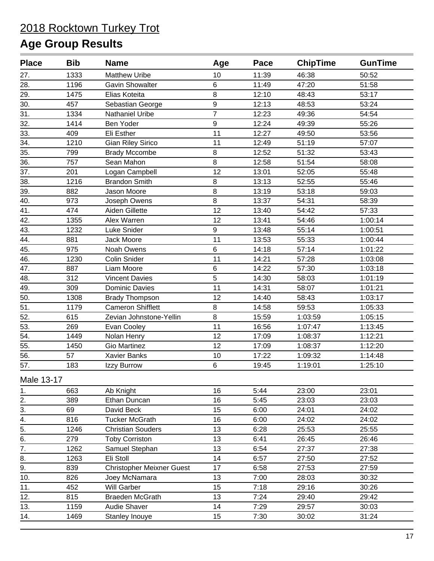| <b>Place</b>      | <b>Bib</b> | <b>Name</b>                      | Age            | Pace  | <b>ChipTime</b> | <b>GunTime</b> |
|-------------------|------------|----------------------------------|----------------|-------|-----------------|----------------|
| 27.               | 1333       | <b>Matthew Uribe</b>             | 10             | 11:39 | 46:38           | 50:52          |
| 28.               | 1196       | <b>Gavin Showalter</b>           | 6              | 11:49 | 47:20           | 51:58          |
| 29.               | 1475       | Elias Koteita                    | 8              | 12:10 | 48:43           | 53:17          |
| 30.               | 457        | Sebastian George                 | 9              | 12:13 | 48:53           | 53:24          |
| 31.               | 1334       | Nathaniel Uribe                  | $\overline{7}$ | 12:23 | 49:36           | 54:54          |
| 32.               | 1414       | Ben Yoder                        | 9              | 12:24 | 49:39           | 55:26          |
| 33.               | 409        | Eli Esther                       | 11             | 12:27 | 49:50           | 53:56          |
| 34.               | 1210       | <b>Gian Riley Sirico</b>         | 11             | 12:49 | 51:19           | 57:07          |
| $\overline{35}$ . | 799        | <b>Brady Mccombe</b>             | $\overline{8}$ | 12:52 | 51:32           | 53:43          |
| 36.               | 757        | Sean Mahon                       | 8              | 12:58 | 51:54           | 58:08          |
| 37.               | 201        | Logan Campbell                   | 12             | 13:01 | 52:05           | 55:48          |
| 38.               | 1216       | <b>Brandon Smith</b>             | 8              | 13:13 | 52:55           | 55:46          |
| 39.               | 882        | Jason Moore                      | 8              | 13:19 | 53:18           | 59:03          |
| 40.               | 973        | Joseph Owens                     | 8              | 13:37 | 54:31           | 58:39          |
| 41.               | 474        | Aiden Gillette                   | 12             | 13:40 | 54:42           | 57:33          |
| 42.               | 1355       | Alex Warren                      | 12             | 13:41 | 54:46           | 1:00:14        |
| 43.               | 1232       | Luke Snider                      | 9              | 13:48 | 55:14           | 1:00:51        |
| 44.               | 881        | Jack Moore                       | 11             | 13:53 | 55:33           | 1:00:44        |
| 45.               | 975        | Noah Owens                       | 6              | 14:18 | 57:14           | 1:01:22        |
| $\overline{46.}$  | 1230       | Colin Snider                     | 11             | 14:21 | 57:28           | 1:03:08        |
| 47.               | 887        | Liam Moore                       | 6              | 14:22 | 57:30           | 1:03:18        |
| 48.               | 312        | <b>Vincent Davies</b>            | 5              | 14:30 | 58:03           | 1:01:19        |
| 49.               | 309        | Dominic Davies                   | 11             | 14:31 | 58:07           | 1:01:21        |
| 50.               | 1308       | <b>Brady Thompson</b>            | 12             | 14:40 | 58:43           | 1:03:17        |
| 51.               | 1179       | <b>Cameron Shifflett</b>         | 8              | 14:58 | 59:53           | 1:05:33        |
| 52.               | 615        | Zevian Johnstone-Yellin          | 8              | 15:59 | 1:03:59         | 1:05:15        |
| 53.               | 269        | Evan Cooley                      | 11             | 16:56 | 1:07:47         | 1:13:45        |
| 54.               | 1449       | Nolan Henry                      | 12             | 17:09 | 1:08:37         | 1:12:21        |
| 55.               | 1450       | <b>Gio Martinez</b>              | 12             | 17:09 | 1:08:37         | 1:12:20        |
| $\overline{56}$ . | 57         | Xavier Banks                     | 10             | 17:22 | 1:09:32         | 1:14:48        |
| 57.               | 183        | Izzy Burrow                      | 6              | 19:45 | 1:19:01         | 1:25:10        |
| Male 13-17        |            |                                  |                |       |                 |                |
| 1.                | 663        | Ab Knight                        | 16             | 5:44  | 23:00           | 23:01          |
| 2.                | 389        | Ethan Duncan                     | 16             | 5:45  | 23:03           | 23:03          |
| 3.                | 69         | David Beck                       | 15             | 6:00  | 24:01           | 24:02          |
| 4.                | 816        | <b>Tucker McGrath</b>            | 16             | 6:00  | 24:02           | 24:02          |
| 5.                | 1246       | <b>Christian Souders</b>         | 13             | 6:28  | 25:53           | 25:55          |
| 6.                | 279        | <b>Toby Corriston</b>            | 13             | 6:41  | 26:45           | 26:46          |
| $\overline{7}$ .  | 1262       | Samuel Stephan                   | 13             | 6:54  | 27:37           | 27:38          |
| 8.                | 1263       | Eli Stoll                        | 14             | 6:57  | 27:50           | 27:52          |
| $\overline{9}$ .  | 839        | <b>Christopher Meixner Guest</b> | 17             | 6:58  | 27:53           | 27:59          |
| 10.               | 826        | Joey McNamara                    | 13             | 7:00  | 28:03           | 30:32          |
| 11.               | 452        | Will Garber                      | 15             | 7:18  | 29:16           | 30:26          |
| 12.               | 815        | Braeden McGrath                  | 13             | 7:24  | 29:40           | 29:42          |
| 13.               | 1159       | <b>Audie Shaver</b>              | 14             | 7:29  | 29:57           | 30:03          |
| 14.               | 1469       | Stanley Inouye                   | 15             | 7:30  | 30:02           | 31:24          |
|                   |            |                                  |                |       |                 |                |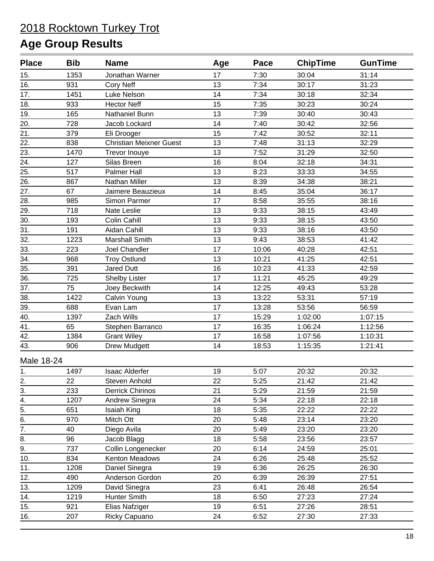| <b>Place</b>      | <b>Bib</b> | <b>Name</b>                    | Age | Pace  | <b>ChipTime</b> | <b>GunTime</b> |
|-------------------|------------|--------------------------------|-----|-------|-----------------|----------------|
| 15.               | 1353       | Jonathan Warner                | 17  | 7:30  | 30:04           | 31:14          |
| 16.               | 931        | <b>Cory Neff</b>               | 13  | 7:34  | 30:17           | 31:23          |
| 17.               | 1451       | Luke Nelson                    | 14  | 7:34  | 30:18           | 32:34          |
| 18.               | 933        | <b>Hector Neff</b>             | 15  | 7:35  | 30:23           | 30:24          |
| 19.               | 165        | Nathaniel Bunn                 | 13  | 7:39  | 30:40           | 30:43          |
| 20.               | 728        | Jacob Lockard                  | 14  | 7:40  | 30:42           | 32:56          |
| 21.               | 379        | Eli Drooger                    | 15  | 7:42  | 30:52           | 32:11          |
| 22.               | 838        | <b>Christian Meixner Guest</b> | 13  | 7:48  | 31:13           | 32:29          |
| 23.               | 1470       | Trevor Inouye                  | 13  | 7:52  | 31:29           | 32:50          |
| 24.               | 127        | Silas Breen                    | 16  | 8:04  | 32:18           | 34:31          |
| 25.               | 517        | Palmer Hall                    | 13  | 8:23  | 33:33           | 34:55          |
| 26.               | 867        | Nathan Miller                  | 13  | 8:39  | 34:38           | 38:21          |
| 27.               | 67         | Jaimere Beauzieux              | 14  | 8:45  | 35:04           | 36:17          |
| 28.               | 985        | Simon Parmer                   | 17  | 8:58  | 35:55           | 38:16          |
| 29.               | 718        | Nate Leslie                    | 13  | 9:33  | 38:15           | 43:49          |
| 30.               | 193        | Colin Cahill                   | 13  | 9:33  | 38:15           | 43:50          |
| 31.               | 191        | Aidan Cahill                   | 13  | 9:33  | 38:16           | 43:50          |
| 32.               | 1223       | <b>Marshall Smith</b>          | 13  | 9:43  | 38:53           | 41:42          |
| 33.               | 223        | Joel Chandler                  | 17  | 10:06 | 40:28           | 42:51          |
| $\overline{34}$ . | 968        | <b>Troy Ostlund</b>            | 13  | 10:21 | 41:25           | 42:51          |
| 35.               | 391        | <b>Jared Dutt</b>              | 16  | 10:23 | 41:33           | 42:59          |
| 36.               | 725        | Shelby Lister                  | 17  | 11:21 | 45:25           | 49:29          |
| 37.               | 75         | Joey Beckwith                  | 14  | 12:25 | 49:43           | 53:28          |
| 38.               | 1422       | Calvin Young                   | 13  | 13:22 | 53:31           | 57:19          |
| 39.               | 688        | Evan Lam                       | 17  | 13:28 | 53:56           | 56:59          |
| 40.               | 1397       | Zach Wills                     | 17  | 15:29 | 1:02:00         | 1:07:15        |
| 41.               | 65         | Stephen Barranco               | 17  | 16:35 | 1:06:24         | 1:12:56        |
| 42.               | 1384       | <b>Grant Wiley</b>             | 17  | 16:58 | 1:07:56         | 1:10:31        |
| 43.               | 906        | <b>Drew Mudgett</b>            | 14  | 18:53 | 1:15:35         | 1:21:41        |
| Male 18-24        |            |                                |     |       |                 |                |
| 1.                | 1497       | <b>Isaac Alderfer</b>          | 19  | 5:07  | 20:32           | 20:32          |
|                   | 22         | Steven Anhold                  | 22  | 5:25  | 21:42           | 21:42          |
| $\frac{2}{3}$ .   | 233        | <b>Derrick Chirinos</b>        | 21  | 5:29  | 21:59           | 21:59          |
| 4.                | 1207       | Andrew Sinegra                 | 24  | 5:34  | 22:18           | 22:18          |
| 5.                | 651        | Isaiah King                    | 18  | 5:35  | 22:22           | 22:22          |
| 6.                | 970        | Mitch Ott                      | 20  | 5:48  | 23:14           | 23:20          |
| 7.                | 40         | Diego Avila                    | 20  | 5:49  | 23:20           | 23:20          |
| 8.                | 96         | Jacob Blagg                    | 18  | 5:58  | 23:56           | 23:57          |
| 9.                | 737        | Collin Longenecker             | 20  | 6:14  | 24:59           | 25:01          |
| 10.               | 834        | Kenton Meadows                 | 24  | 6:26  | 25:48           | 25:52          |
| 11.               | 1208       | Daniel Sinegra                 | 19  | 6:36  | 26:25           | 26:30          |
| 12.               | 490        | Anderson Gordon                | 20  | 6:39  | 26:39           | 27:51          |
| 13.               | 1209       | David Sinegra                  | 23  | 6:41  | 26:48           | 26:54          |
| 14.               | 1219       | Hunter Smith                   | 18  | 6:50  | 27:23           | 27:24          |
| 15.               | 921        | Elias Nafziger                 | 19  | 6:51  | 27:26           | 28:51          |
| 16.               | 207        | Ricky Capuano                  | 24  | 6:52  | 27:30           | 27:33          |
|                   |            |                                |     |       |                 |                |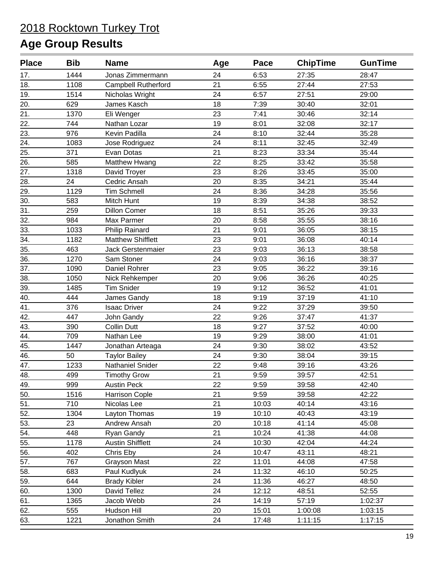| <b>Place</b> | <b>Bib</b> | <b>Name</b>                | Age | Pace  | <b>ChipTime</b> | <b>GunTime</b> |
|--------------|------------|----------------------------|-----|-------|-----------------|----------------|
| 17.          | 1444       | Jonas Zimmermann           | 24  | 6:53  | 27:35           | 28:47          |
| 18.          | 1108       | <b>Campbell Rutherford</b> | 21  | 6:55  | 27:44           | 27:53          |
| 19.          | 1514       | Nicholas Wright            | 24  | 6:57  | 27:51           | 29:00          |
| 20.          | 629        | James Kasch                | 18  | 7:39  | 30:40           | 32:01          |
| 21.          | 1370       | Eli Wenger                 | 23  | 7:41  | 30:46           | 32:14          |
| 22.          | 744        | Nathan Lozar               | 19  | 8:01  | 32:08           | 32:17          |
| 23.          | 976        | Kevin Padilla              | 24  | 8:10  | 32:44           | 35:28          |
| 24.          | 1083       | Jose Rodriguez             | 24  | 8:11  | 32:45           | 32:49          |
| 25.          | 371        | Evan Dotas                 | 21  | 8:23  | 33:34           | 35:44          |
| 26.          | 585        | Matthew Hwang              | 22  | 8:25  | 33:42           | 35:58          |
| 27.          | 1318       | David Troyer               | 23  | 8:26  | 33:45           | 35:00          |
| 28.          | 24         | Cedric Ansah               | 20  | 8:35  | 34:21           | 35:44          |
| 29.          | 1129       | <b>Tim Schmell</b>         | 24  | 8:36  | 34:28           | 35:56          |
| 30.          | 583        | Mitch Hunt                 | 19  | 8:39  | 34:38           | 38:52          |
| 31.          | 259        | <b>Dillon Comer</b>        | 18  | 8:51  | 35:26           | 39:33          |
| 32.          | 984        | Max Parmer                 | 20  | 8:58  | 35:55           | 38:16          |
| 33.          | 1033       | Philip Rainard             | 21  | 9:01  | 36:05           | 38:15          |
| 34.          | 1182       | <b>Matthew Shifflett</b>   | 23  | 9:01  | 36:08           | 40:14          |
| 35.          | 463        | <b>Jack Gerstenmaier</b>   | 23  | 9:03  | 36:13           | 38:58          |
| 36.          | 1270       | Sam Stoner                 | 24  | 9:03  | 36:16           | 38:37          |
| 37.          | 1090       | Daniel Rohrer              | 23  | 9:05  | 36:22           | 39:16          |
| 38.          | 1050       | Nick Rehkemper             | 20  | 9:06  | 36:26           | 40:25          |
| 39.          | 1485       | <b>Tim Snider</b>          | 19  | 9:12  | 36:52           | 41:01          |
| 40.          | 444        | James Gandy                | 18  | 9:19  | 37:19           | 41:10          |
| 41.          | 376        | <b>Isaac Driver</b>        | 24  | 9:22  | 37:29           | 39:50          |
| 42.          | 447        | John Gandy                 | 22  | 9:26  | 37:47           | 41:37          |
| 43.          | 390        | <b>Collin Dutt</b>         | 18  | 9:27  | 37:52           | 40:00          |
| 44.          | 709        | Nathan Lee                 | 19  | 9:29  | 38:00           | 41:01          |
| 45.          | 1447       | Jonathan Arteaga           | 24  | 9:30  | 38:02           | 43:52          |
| 46.          | 50         | <b>Taylor Bailey</b>       | 24  | 9:30  | 38:04           | 39:15          |
| 47.          | 1233       | Nathaniel Snider           | 22  | 9:48  | 39:16           | 43:26          |
| 48.          | 499        | <b>Timothy Grow</b>        | 21  | 9:59  | 39:57           | 42:51          |
| 49.          | 999        | Austin Peck                | 22  | 9:59  | 39:58           | 42:40          |
| 50.          | 1516       | <b>Harrison Cople</b>      | 21  | 9:59  | 39:58           | 42:22          |
| 51.          | 710        | Nicolas Lee                | 21  | 10:03 | 40:14           | 43:16          |
| 52.          | 1304       | Layton Thomas              | 19  | 10:10 | 40:43           | 43:19          |
| 53.          | 23         | Andrew Ansah               | 20  | 10:18 | 41:14           | 45:08          |
| 54.          | 448        | Ryan Gandy                 | 21  | 10:24 | 41:38           | 44:08          |
| 55.          | 1178       | <b>Austin Shifflett</b>    | 24  | 10:30 | 42:04           | 44:24          |
| 56.          | 402        | Chris Eby                  | 24  | 10:47 | 43:11           | 48:21          |
| 57.          | 767        | <b>Grayson Mast</b>        | 22  | 11:01 | 44:08           | 47:58          |
| 58.          | 683        | Paul Kudlyuk               | 24  | 11:32 | 46:10           | 50:25          |
| 59.          | 644        | <b>Brady Kibler</b>        | 24  | 11:36 | 46:27           | 48:50          |
| 60.          | 1300       | David Tellez               | 24  | 12:12 | 48:51           | 52:55          |
| 61.          | 1365       | Jacob Webb                 | 24  | 14:19 | 57:19           | 1:02:37        |
| 62.          | 555        | Hudson Hill                | 20  | 15:01 | 1:00:08         | 1:03:15        |
| 63.          | 1221       | Jonathon Smith             | 24  | 17:48 | 1:11:15         | 1:17:15        |
|              |            |                            |     |       |                 |                |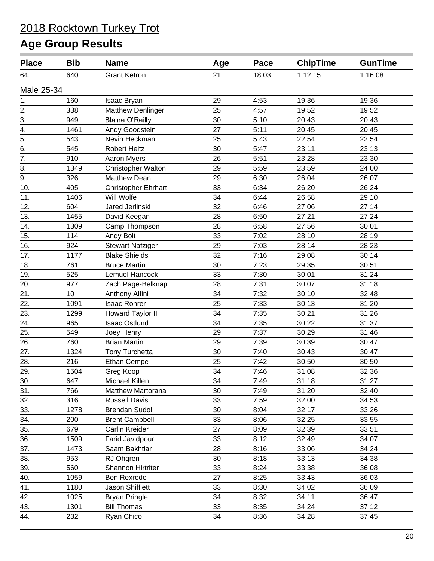| <b>Place</b>     | <b>Bib</b> | <b>Name</b>                | Age | Pace  | <b>ChipTime</b> | <b>GunTime</b> |
|------------------|------------|----------------------------|-----|-------|-----------------|----------------|
| 64.              | 640        | <b>Grant Ketron</b>        | 21  | 18:03 | 1:12:15         | 1:16:08        |
| Male 25-34       |            |                            |     |       |                 |                |
| 1.               | 160        | Isaac Bryan                | 29  | 4:53  | 19:36           | 19:36          |
| $\overline{2}$ . | 338        | <b>Matthew Denlinger</b>   | 25  | 4:57  | 19:52           | 19:52          |
| 3.               | 949        | <b>Blaine O'Reilly</b>     | 30  | 5:10  | 20:43           | 20:43          |
| 4.               | 1461       | Andy Goodstein             | 27  | 5:11  | 20:45           | 20:45          |
| $\overline{5}$ . | 543        | Nevin Heckman              | 25  | 5:43  | 22:54           | 22:54          |
| $\overline{6}$ . | 545        | <b>Robert Heitz</b>        | 30  | 5:47  | 23:11           | 23:13          |
| $\overline{7}$ . | 910        | Aaron Myers                | 26  | 5:51  | 23:28           | 23:30          |
| 8.               | 1349       | <b>Christopher Walton</b>  | 29  | 5:59  | 23:59           | 24:00          |
| 9.               | 326        | <b>Matthew Dean</b>        | 29  | 6:30  | 26:04           | 26:07          |
| 10.              | 405        | <b>Christopher Ehrhart</b> | 33  | 6:34  | 26:20           | 26:24          |
| 11.              | 1406       | Will Wolfe                 | 34  | 6:44  | 26:58           | 29:10          |
| 12.              | 604        | Jared Jerlinski            | 32  | 6:46  | 27:06           | 27:14          |
| 13.              | 1455       | David Keegan               | 28  | 6:50  | 27:21           | 27:24          |
| 14.              | 1309       | Camp Thompson              | 28  | 6:58  | 27:56           | 30:01          |
| 15.              | 114        | Andy Bolt                  | 33  | 7:02  | 28:10           | 28:19          |
| 16.              | 924        | <b>Stewart Nafziger</b>    | 29  | 7:03  | 28:14           | 28:23          |
| 17.              | 1177       | <b>Blake Shields</b>       | 32  | 7:16  | 29:08           | 30:14          |
| 18.              | 761        | <b>Bruce Martin</b>        | 30  | 7:23  | 29:35           | 30:51          |
| 19.              | 525        | Lemuel Hancock             | 33  | 7:30  | 30:01           | 31:24          |
| 20.              | 977        | Zach Page-Belknap          | 28  | 7:31  | 30:07           | 31:18          |
| 21.              | 10         | Anthony Alfini             | 34  | 7:32  | 30:10           | 32:48          |
| 22.              | 1091       | <b>Isaac Rohrer</b>        | 25  | 7:33  | 30:13           | 31:20          |
| 23.              | 1299       | Howard Taylor II           | 34  | 7:35  | 30:21           | 31:26          |
| 24.              | 965        | <b>Isaac Ostlund</b>       | 34  | 7:35  | 30:22           | 31:37          |
| 25.              | 549        | Joey Henry                 | 29  | 7:37  | 30:29           | 31:46          |
| 26.              | 760        | <b>Brian Martin</b>        | 29  | 7:39  | 30:39           | 30:47          |
| 27.              | 1324       | Tony Turchetta             | 30  | 7:40  | 30:43           | 30:47          |
| 28.              | 216        | <b>Ethan Cempe</b>         | 25  | 7:42  | 30:50           | 30:50          |
| 29.              | 1504       | Greg Koop                  | 34  | 7:46  | 31:08           | 32:36          |
| 30.              | 647        | Michael Killen             | 34  | 7:49  | 31:18           | 31:27          |
| 31.              | 766        | <b>Matthew Martorana</b>   | 30  | 7:49  | 31:20           | 32:40          |
| 32.              | 316        | <b>Russell Davis</b>       | 33  | 7:59  | 32:00           | 34:53          |
| 33.              | 1278       | <b>Brendan Sudol</b>       | 30  | 8:04  | 32:17           | 33:26          |
| 34.              | 200        | <b>Brent Campbell</b>      | 33  | 8:06  | 32:25           | 33:55          |
| 35.              | 679        | Carlin Kreider             | 27  | 8:09  | 32:39           | 33:51          |
| 36.              | 1509       | Farid Javidpour            | 33  | 8:12  | 32:49           | 34:07          |
| 37.              | 1473       | Saam Bakhtiar              | 28  | 8:16  | 33:06           | 34:24          |
| 38.              | 953        | RJ Ohgren                  | 30  | 8:18  | 33:13           | 34:38          |
| 39.              | 560        | Shannon Hirtriter          | 33  | 8:24  | 33:38           | 36:08          |
| 40.              | 1059       | Ben Rexrode                | 27  | 8:25  | 33:43           | 36:03          |
| 41.              | 1180       | Jason Shifflett            | 33  | 8:30  | 34:02           | 36:09          |
| 42.              | 1025       | <b>Bryan Pringle</b>       | 34  | 8:32  | 34:11           | 36:47          |
| 43.              | 1301       | <b>Bill Thomas</b>         | 33  | 8:35  | 34:24           | 37:12          |
| 44.              | 232        | Ryan Chico                 | 34  | 8:36  | 34:28           | 37:45          |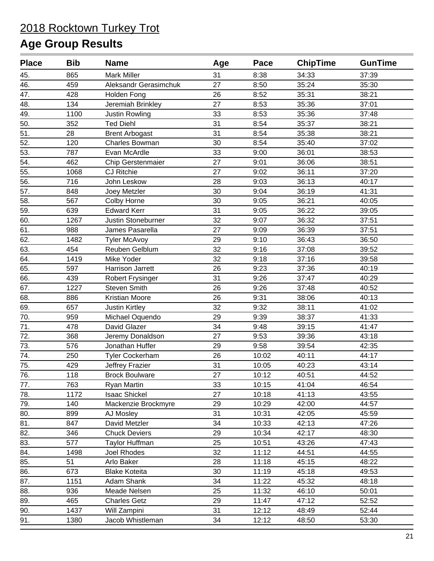| <b>Place</b> | <b>Bib</b> | <b>Name</b>             | Age | Pace  | <b>ChipTime</b> | <b>GunTime</b> |
|--------------|------------|-------------------------|-----|-------|-----------------|----------------|
| 45.          | 865        | <b>Mark Miller</b>      | 31  | 8:38  | 34:33           | 37:39          |
| 46.          | 459        | Aleksandr Gerasimchuk   | 27  | 8:50  | 35:24           | 35:30          |
| 47.          | 428        | Holden Fong             | 26  | 8:52  | 35:31           | 38:21          |
| 48.          | 134        | Jeremiah Brinkley       | 27  | 8:53  | 35:36           | 37:01          |
| 49.          | 1100       | Justin Rowling          | 33  | 8:53  | 35:36           | 37:48          |
| 50.          | 352        | <b>Ted Diehl</b>        | 31  | 8:54  | 35:37           | 38:21          |
| 51.          | 28         | <b>Brent Arbogast</b>   | 31  | 8:54  | 35:38           | 38:21          |
| 52.          | 120        | Charles Bowman          | 30  | 8:54  | 35:40           | 37:02          |
| 53.          | 787        | Evan McArdle            | 33  | 9:00  | 36:01           | 38:53          |
| 54.          | 462        | Chip Gerstenmaier       | 27  | 9:01  | 36:06           | 38:51          |
| 55.          | 1068       | <b>CJ Ritchie</b>       | 27  | 9:02  | 36:11           | 37:20          |
| 56.          | 716        | John Leskow             | 28  | 9:03  | 36:13           | 40:17          |
| 57.          | 848        | Joey Metzler            | 30  | 9:04  | 36:19           | 41:31          |
| 58.          | 567        | Colby Horne             | 30  | 9:05  | 36:21           | 40:05          |
| 59.          | 639        | <b>Edward Kerr</b>      | 31  | 9:05  | 36:22           | 39:05          |
| 60.          | 1267       | Justin Stoneburner      | 32  | 9:07  | 36:32           | 37:51          |
| 61.          | 988        | James Pasarella         | 27  | 9:09  | 36:39           | 37:51          |
| 62.          | 1482       | <b>Tyler McAvoy</b>     | 29  | 9:10  | 36:43           | 36:50          |
| 63.          | 454        | Reuben Gelblum          | 32  | 9:16  | 37:08           | 39:52          |
| 64.          | 1419       | Mike Yoder              | 32  | 9:18  | 37:16           | 39:58          |
| 65.          | 597        | Harrison Jarrett        | 26  | 9:23  | 37:36           | 40:19          |
| 66.          | 439        | <b>Robert Frysinger</b> | 31  | 9:26  | 37:47           | 40:29          |
| 67.          | 1227       | <b>Steven Smith</b>     | 26  | 9:26  | 37:48           | 40:52          |
| 68.          | 886        | Kristian Moore          | 26  | 9:31  | 38:06           | 40:13          |
| 69.          | 657        | <b>Justin Kirtley</b>   | 32  | 9:32  | 38:11           | 41:02          |
| 70.          | 959        | Michael Oquendo         | 29  | 9:39  | 38:37           | 41:33          |
| 71.          | 478        | David Glazer            | 34  | 9:48  | 39:15           | 41:47          |
| 72.          | 368        | Jeremy Donaldson        | 27  | 9:53  | 39:36           | 43:18          |
| 73.          | 576        | Jonathan Huffer         | 29  | 9:58  | 39:54           | 42:35          |
| 74.          | 250        | <b>Tyler Cockerham</b>  | 26  | 10:02 | 40:11           | 44:17          |
| 75.          | 429        | Jeffrey Frazier         | 31  | 10:05 | 40:23           | 43:14          |
| 76.          | 118        | <b>Brock Boulware</b>   | 27  | 10:12 | 40:51           | 44:52          |
| 77.          | 763        | Ryan Martin             | 33  | 10:15 | 41:04           | 46:54          |
| 78.          | 1172       | <b>Isaac Shickel</b>    | 27  | 10:18 | 41:13           | 43:55          |
| 79.          | 140        | Mackenzie Brockmyre     | 29  | 10:29 | 42:00           | 44:57          |
| 80.          | 899        | AJ Mosley               | 31  | 10:31 | 42:05           | 45:59          |
| 81.          | 847        | David Metzler           | 34  | 10:33 | 42:13           | 47:26          |
| 82.          | 346        | <b>Chuck Deviers</b>    | 29  | 10:34 | 42:17           | 48:30          |
| 83.          | 577        | Taylor Huffman          | 25  | 10:51 | 43:26           | 47:43          |
| 84.          | 1498       | <b>Joel Rhodes</b>      | 32  | 11:12 | 44:51           | 44:55          |
| 85.          | 51         | Arlo Baker              | 28  | 11:18 | 45:15           | 48:22          |
| 86.          | 673        | <b>Blake Koteita</b>    | 30  | 11:19 | 45:18           | 49:53          |
| 87.          | 1151       | Adam Shank              | 34  | 11:22 | 45:32           | 48:18          |
| 88.          | 936        | Meade Nelsen            | 25  | 11:32 | 46:10           | 50:01          |
| 89.          | 465        | <b>Charles Getz</b>     | 29  | 11:47 | 47:12           | 52:52          |
| 90.          | 1437       | Will Zampini            | 31  | 12:12 | 48:49           | 52:44          |
| 91.          | 1380       | Jacob Whistleman        | 34  | 12:12 | 48:50           | 53:30          |
|              |            |                         |     |       |                 |                |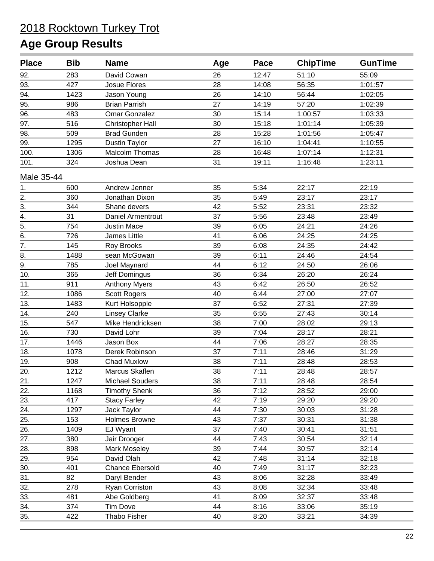| <b>Place</b>     | <b>Bib</b> | <b>Name</b>             | Age | Pace  | <b>ChipTime</b> | <b>GunTime</b> |
|------------------|------------|-------------------------|-----|-------|-----------------|----------------|
| 92.              | 283        | David Cowan             | 26  | 12:47 | 51:10           | 55:09          |
| 93.              | 427        | <b>Josue Flores</b>     | 28  | 14:08 | 56:35           | 1:01:57        |
| 94.              | 1423       | Jason Young             | 26  | 14:10 | 56:44           | 1:02:05        |
| 95.              | 986        | <b>Brian Parrish</b>    | 27  | 14:19 | 57:20           | 1:02:39        |
| 96.              | 483        | <b>Omar Gonzalez</b>    | 30  | 15:14 | 1:00:57         | 1:03:33        |
| 97.              | 516        | <b>Christopher Hall</b> | 30  | 15:18 | 1:01:14         | 1:05:39        |
| 98.              | 509        | <b>Brad Gunden</b>      | 28  | 15:28 | 1:01:56         | 1:05:47        |
| 99.              | 1295       | <b>Dustin Taylor</b>    | 27  | 16:10 | 1:04:41         | 1:10:55        |
| 100.             | 1306       | <b>Malcolm Thomas</b>   | 28  | 16:48 | 1:07:14         | 1:12:31        |
| 101.             | 324        | Joshua Dean             | 31  | 19:11 | 1:16:48         | 1:23:11        |
| Male 35-44       |            |                         |     |       |                 |                |
| 1.               | 600        | Andrew Jenner           | 35  | 5:34  | 22:17           | 22:19          |
| 2.               | 360        | Jonathan Dixon          | 35  | 5:49  | 23:17           | 23:17          |
| 3.               | 344        | Shane devers            | 42  | 5:52  | 23:31           | 23:32          |
| $\overline{4}$ . | 31         | Daniel Armentrout       | 37  | 5:56  | 23:48           | 23:49          |
| $\overline{5}$ . | 754        | Justin Mace             | 39  | 6:05  | 24:21           | 24:26          |
|                  | 726        | James Little            | 41  | 6:06  | 24:25           | 24:25          |
| $\frac{6}{7}$    | 145        | Roy Brooks              | 39  | 6:08  | 24:35           | 24:42          |
| 8.               | 1488       | sean McGowan            | 39  | 6:11  | 24:46           | 24:54          |
| $\overline{9}$ . | 785        | Joel Maynard            | 44  | 6:12  | 24:50           | 26:06          |
| 10.              | 365        | Jeff Domingus           | 36  | 6:34  | 26:20           | 26:24          |
| 11.              | 911        | <b>Anthony Myers</b>    | 43  | 6:42  | 26:50           | 26:52          |
| 12.              | 1086       | <b>Scott Rogers</b>     | 40  | 6:44  | 27:00           | 27:07          |
| 13.              | 1483       | Kurt Holsopple          | 37  | 6:52  | 27:31           | 27:39          |
| 14.              | 240        | <b>Linsey Clarke</b>    | 35  | 6:55  | 27:43           | 30:14          |
| 15.              | 547        | Mike Hendricksen        | 38  | 7:00  | 28:02           | 29:13          |
| 16.              | 730        | David Lohr              | 39  | 7:04  | 28:17           | 28:21          |
| 17.              | 1446       | Jason Box               | 44  | 7:06  | 28:27           | 28:35          |
| 18.              | 1078       | Derek Robinson          | 37  | 7:11  | 28:46           | 31:29          |
| 19.              | 908        | <b>Chad Muxlow</b>      | 38  | 7:11  | 28:48           | 28:53          |
| 20.              | 1212       | Marcus Skaflen          | 38  | 7:11  | 28:48           | 28:57          |
| 21.              | 1247       | <b>Michael Souders</b>  | 38  | 7:11  | 28:48           | 28:54          |
| 22.              | 1168       | <b>Timothy Shenk</b>    | 36  | 7:12  | 28:52           | 29:00          |
| 23.              | 417        | <b>Stacy Farley</b>     | 42  | 7:19  | 29:20           | 29:20          |
| 24.              | 1297       | Jack Taylor             | 44  | 7:30  | 30:03           | 31:28          |
| 25.              | 153        | Holmes Browne           | 43  | 7:37  | 30:31           | 31:38          |
| 26.              | 1409       | EJ Wyant                | 37  | 7:40  | 30:41           | 31:51          |
| 27.              | 380        | Jair Drooger            | 44  | 7:43  | 30:54           | 32:14          |
| 28.              | 898        | Mark Moseley            | 39  | 7:44  | 30:57           | 32:14          |
| 29.              | 954        | David Olah              | 42  | 7:48  | 31:14           | 32:18          |
| 30.              | 401        | Chance Ebersold         | 40  | 7:49  | 31:17           | 32:23          |
| 31.              | 82         | Daryl Bender            | 43  | 8:06  | 32:28           | 33:49          |
| 32.              | 278        | Ryan Corriston          | 43  | 8:08  | 32:34           | 33:48          |
| 33.              | 481        | Abe Goldberg            | 41  | 8:09  | 32:37           | 33:48          |
| 34.              | 374        | <b>Tim Dove</b>         | 44  | 8:16  | 33:06           | 35:19          |
| 35.              | 422        | Thabo Fisher            | 40  | 8:20  | 33:21           | 34:39          |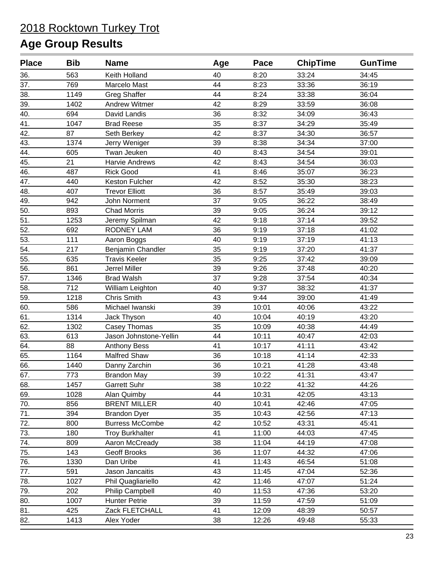| <b>Bib</b> | <b>Name</b>            | Age                                                                                        | Pace                             | <b>ChipTime</b>                           | <b>GunTime</b>          |
|------------|------------------------|--------------------------------------------------------------------------------------------|----------------------------------|-------------------------------------------|-------------------------|
| 563        | Keith Holland          | 40                                                                                         | 8:20                             | 33:24                                     | 34:45                   |
| 769        | Marcelo Mast           | 44                                                                                         | 8:23                             | 33:36                                     | 36:19                   |
| 1149       | <b>Greg Shaffer</b>    | 44                                                                                         | 8:24                             | 33:38                                     | 36:04                   |
| 1402       | <b>Andrew Witmer</b>   | 42                                                                                         | 8:29                             | 33:59                                     | 36:08                   |
| 694        | David Landis           | 36                                                                                         | 8:32                             | 34:09                                     | 36:43                   |
| 1047       | <b>Brad Reese</b>      | 35                                                                                         | 8:37                             | 34:29                                     | 35:49                   |
| 87         | Seth Berkey            | 42                                                                                         | 8:37                             | 34:30                                     | 36:57                   |
| 1374       | Jerry Weniger          | 39                                                                                         | 8:38                             | 34:34                                     | 37:00                   |
| 605        | Twan Jeuken            | 40                                                                                         | 8:43                             | 34:54                                     | 39:01                   |
| 21         | <b>Harvie Andrews</b>  | 42                                                                                         | 8:43                             | 34:54                                     | 36:03                   |
| 487        | <b>Rick Good</b>       | 41                                                                                         | 8:46                             | 35:07                                     | 36:23                   |
| 440        | Keston Fulcher         | 42                                                                                         | 8:52                             | 35:30                                     | 38:23                   |
| 407        | <b>Trevor Elliott</b>  | 36                                                                                         | 8:57                             | 35:49                                     | 39:03                   |
| 942        | John Norment           | 37                                                                                         | 9:05                             | 36:22                                     | 38:49                   |
| 893        | <b>Chad Morris</b>     | 39                                                                                         | 9:05                             | 36:24                                     | 39:12                   |
| 1253       | Jeremy Spilman         | 42                                                                                         | 9:18                             | 37:14                                     | 39:52                   |
| 692        | RODNEY LAM             | 36                                                                                         | 9:19                             | 37:18                                     | 41:02                   |
| 111        | Aaron Boggs            | 40                                                                                         | 9:19                             | 37:19                                     | 41:13                   |
| 217        | Benjamin Chandler      | 35                                                                                         | 9:19                             | 37:20                                     | 41:37                   |
| 635        | <b>Travis Keeler</b>   | 35                                                                                         | 9:25                             | 37:42                                     | 39:09                   |
| 861        | Jerrel Miller          | 39                                                                                         | 9:26                             | 37:48                                     | 40:20                   |
| 1346       | <b>Brad Walsh</b>      | 37                                                                                         | 9:28                             | 37:54                                     | 40:34                   |
| 712        | William Leighton       | 40                                                                                         | 9:37                             | 38:32                                     | 41:37                   |
| 1218       | Chris Smith            | 43                                                                                         | 9:44                             | 39:00                                     | 41:49                   |
| 586        | Michael Iwanski        | 39                                                                                         | 10:01                            | 40:06                                     | 43:22                   |
| 1314       | Jack Thyson            | 40                                                                                         | 10:04                            | 40:19                                     | 43:20                   |
| 1302       | Casey Thomas           | 35                                                                                         | 10:09                            | 40:38                                     | 44:49                   |
| 613        | Jason Johnstone-Yellin | 44                                                                                         | 10:11                            | 40:47                                     | 42:03                   |
| 88         | <b>Anthony Bess</b>    | 41                                                                                         | 10:17                            | 41:11                                     | 43:42                   |
|            | <b>Malfred Shaw</b>    |                                                                                            |                                  |                                           | 42:33                   |
| 1440       |                        | 36                                                                                         | 10:21                            | 41:28                                     | 43:48                   |
| 773        | <b>Brandon May</b>     | 39                                                                                         | 10:22                            | 41:31                                     | 43:47                   |
| 1457       | <b>Garrett Suhr</b>    | 38                                                                                         | 10:22                            | 41:32                                     | 44:26                   |
|            |                        |                                                                                            |                                  |                                           | 43:13                   |
| 856        |                        |                                                                                            | 10:41                            | 42:46                                     | 47:05                   |
| 394        | <b>Brandon Dyer</b>    |                                                                                            |                                  | 42:56                                     | 47:13                   |
| 800        | <b>Burress McCombe</b> | 42                                                                                         | 10:52                            | 43:31                                     | 45:41                   |
| 180        |                        |                                                                                            |                                  | 44:03                                     | 47:45                   |
| 809        | Aaron McCready         | 38                                                                                         | 11:04                            | 44:19                                     | 47:08                   |
|            | <b>Geoff Brooks</b>    |                                                                                            |                                  |                                           | 47:06                   |
| 1330       |                        | 41                                                                                         | 11:43                            | 46:54                                     | 51:08                   |
| 591        | Jason Jancaitis        | 43                                                                                         | 11:45                            | 47:04                                     | 52:36                   |
| 1027       | Phil Quagliariello     | 42                                                                                         | 11:46                            | 47:07                                     | 51:24                   |
| 202        | Philip Campbell        | 40                                                                                         | 11:53                            | 47:36                                     | 53:20                   |
| 1007       | <b>Hunter Petrie</b>   | 39                                                                                         | 11:59                            | 47:59                                     | 51:09                   |
| 425        | Zack FLETCHALL         | 41                                                                                         | 12:09                            | 48:39                                     | 50:57                   |
| 1413       | Alex Yoder             | 38                                                                                         | 12:26                            | 49:48                                     | 55:33                   |
|            | 1164<br>1028<br>143    | Danny Zarchin<br>Alan Quimby<br><b>BRENT MILLER</b><br><b>Troy Burkhalter</b><br>Dan Uribe | 36<br>44<br>40<br>35<br>41<br>36 | 10:18<br>10:31<br>10:43<br>11:00<br>11:07 | 41:14<br>42:05<br>44:32 |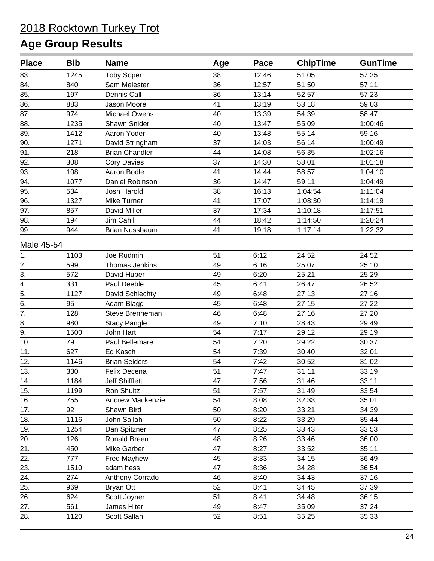| <b>Place</b>                       | <b>Bib</b> | <b>Name</b>             | Age | Pace  | <b>ChipTime</b> | <b>GunTime</b> |
|------------------------------------|------------|-------------------------|-----|-------|-----------------|----------------|
| 83.                                | 1245       | <b>Toby Soper</b>       | 38  | 12:46 | 51:05           | 57:25          |
| 84.                                | 840        | Sam Melester            | 36  | 12:57 | 51:50           | 57:11          |
| 85.                                | 197        | Dennis Call             | 36  | 13:14 | 52:57           | 57:23          |
| 86.                                | 883        | Jason Moore             | 41  | 13:19 | 53:18           | 59:03          |
| 87.                                | 974        | <b>Michael Owens</b>    | 40  | 13:39 | 54:39           | 58:47          |
| 88.                                | 1235       | Shawn Snider            | 40  | 13:47 | 55:09           | 1:00:46        |
| 89.                                | 1412       | Aaron Yoder             | 40  | 13:48 | 55:14           | 59:16          |
| 90.                                | 1271       | David Stringham         | 37  | 14:03 | 56:14           | 1:00:49        |
| $\overline{91}$ .                  | 218        | <b>Brian Chandler</b>   | 44  | 14:08 | 56:35           | 1:02:16        |
| 92.                                | 308        | <b>Cory Davies</b>      | 37  | 14:30 | 58:01           | 1:01:18        |
| 93.                                | 108        | Aaron Bodle             | 41  | 14:44 | 58:57           | 1:04:10        |
| 94.                                | 1077       | Daniel Robinson         | 36  | 14:47 | 59:11           | 1:04:49        |
| 95.                                | 534        | Josh Harold             | 38  | 16:13 | 1:04:54         | 1:11:04        |
| 96.                                | 1327       | Mike Turner             | 41  | 17:07 | 1:08:30         | 1:14:19        |
| 97.                                | 857        | David Miller            | 37  | 17:34 | 1:10:18         | 1:17:51        |
| 98.                                | 194        | Jim Cahill              | 44  | 18:42 | 1:14:50         | 1:20:24        |
| 99.                                | 944        | <b>Brian Nussbaum</b>   | 41  | 19:18 | 1:17:14         | 1:22:32        |
| Male 45-54                         |            |                         |     |       |                 |                |
| 1.                                 | 1103       | Joe Rudmin              | 51  | 6:12  | 24:52           | 24:52          |
| 2.                                 | 599        | Thomas Jenkins          | 49  | 6:16  | 25:07           | 25:10          |
| $\overline{3}$ .                   | 572        | David Huber             | 49  | 6:20  | 25:21           | 25:29          |
|                                    | 331        | Paul Deeble             | 45  | 6:41  | 26:47           | 26:52          |
| $\frac{4}{5}$ .<br>$\frac{5}{6}$ . | 1127       | David Schlechty         | 49  | 6:48  | 27:13           | 27:16          |
|                                    | 95         | Adam Blagg              | 45  | 6:48  | 27:15           | 27:22          |
| $\overline{7}$ .                   | 128        | Steve Brenneman         | 46  | 6:48  | 27:16           | 27:20          |
| 8.                                 | 980        | <b>Stacy Pangle</b>     | 49  | 7:10  | 28:43           | 29:49          |
| 9.                                 | 1500       | John Hart               | 54  | 7:17  | 29:12           | 29:19          |
| 10.                                | 79         | Paul Bellemare          | 54  | 7:20  | 29:22           | 30:37          |
| 11.                                | 627        | Ed Kasch                | 54  | 7:39  | 30:40           | 32:01          |
| 12.                                | 1146       | <b>Brian Selders</b>    | 54  | 7:42  | 30:52           | 31:02          |
| 13.                                | 330        | Felix Decena            | 51  | 7:47  | 31:11           | 33:19          |
| 14.                                | 1184       | Jeff Shifflett          | 47  | 7:56  | 31:46           | 33:11          |
| 15.                                | 1199       | Ron Shultz              | 51  | 7:57  | 31:49           | 33:54          |
| 16.                                | 755        | <b>Andrew Mackenzie</b> | 54  | 8:08  | 32:33           | 35:01          |
| 17.                                | 92         | Shawn Bird              | 50  | 8:20  | 33:21           | 34:39          |
| 18.                                | 1116       | John Sallah             | 50  | 8:22  | 33:29           | 35:44          |
| 19.                                | 1254       | Dan Spitzner            | 47  | 8:25  | 33:43           | 33:53          |
| 20.                                | 126        | Ronald Breen            | 48  | 8:26  | 33:46           | 36:00          |
| 21.                                | 450        | Mike Garber             | 47  | 8:27  | 33:52           | 35:11          |
| 22.                                | 777        | <b>Fred Mayhew</b>      | 45  | 8:33  | 34:15           | 36:49          |
| 23.                                | 1510       | adam hess               | 47  | 8:36  | 34:28           | 36:54          |
| 24.                                | 274        | Anthony Corrado         | 46  | 8:40  | 34:43           | 37:16          |
| 25.                                | 969        | Bryan Ott               | 52  | 8:41  | 34:45           | 37:39          |
| 26.                                | 624        | Scott Joyner            | 51  | 8:41  | 34:48           | 36:15          |
| 27.                                | 561        | James Hiter             | 49  | 8:47  | 35:09           | 37:24          |
| 28.                                | 1120       | Scott Sallah            | 52  | 8:51  | 35:25           | 35:33          |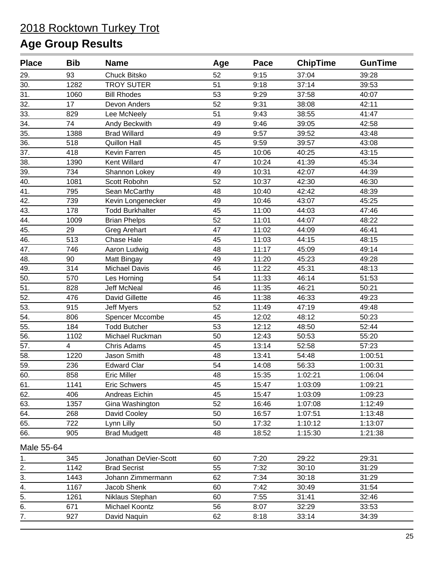| <b>Place</b>      | <b>Bib</b> | <b>Name</b>            | Age | Pace  | <b>ChipTime</b> | <b>GunTime</b> |
|-------------------|------------|------------------------|-----|-------|-----------------|----------------|
| 29.               | 93         | <b>Chuck Bitsko</b>    | 52  | 9:15  | 37:04           | 39:28          |
| 30.               | 1282       | <b>TROY SUTER</b>      | 51  | 9:18  | 37:14           | 39:53          |
| 31.               | 1060       | <b>Bill Rhodes</b>     | 53  | 9:29  | 37:58           | 40:07          |
| 32.               | 17         | Devon Anders           | 52  | 9:31  | 38:08           | 42:11          |
| 33.               | 829        | Lee McNeely            | 51  | 9:43  | 38:55           | 41:47          |
| 34.               | 74         | Andy Beckwith          | 49  | 9:46  | 39:05           | 42:58          |
| 35.               | 1388       | <b>Brad Willard</b>    | 49  | 9:57  | 39:52           | 43:48          |
| 36.               | 518        | <b>Quillon Hall</b>    | 45  | 9:59  | 39:57           | 43:08          |
| 37.               | 418        | Kevin Farren           | 45  | 10:06 | 40:25           | 43:15          |
| 38.               | 1390       | Kent Willard           | 47  | 10:24 | 41:39           | 45:34          |
| 39.               | 734        | Shannon Lokey          | 49  | 10:31 | 42:07           | 44:39          |
| 40.               | 1081       | Scott Robohn           | 52  | 10:37 | 42:30           | 46:30          |
| 41.               | 795        | Sean McCarthy          | 48  | 10:40 | 42:42           | 48:39          |
| 42.               | 739        | Kevin Longenecker      | 49  | 10:46 | 43:07           | 45:25          |
| 43.               | 178        | <b>Todd Burkhalter</b> | 45  | 11:00 | 44:03           | 47:46          |
| 44.               | 1009       | <b>Brian Phelps</b>    | 52  | 11:01 | 44:07           | 48:22          |
| 45.               | 29         | <b>Greg Arehart</b>    | 47  | 11:02 | 44:09           | 46:41          |
| 46.               | 513        | Chase Hale             | 45  | 11:03 | 44:15           | 48:15          |
| 47.               | 746        | Aaron Ludwig           | 48  | 11:17 | 45:09           | 49:14          |
| 48.               | 90         | Matt Bingay            | 49  | 11:20 | 45:23           | 49:28          |
| 49.               | 314        | <b>Michael Davis</b>   | 46  | 11:22 | 45:31           | 48:13          |
| 50.               | 570        | Les Horning            | 54  | 11:33 | 46:14           | 51:53          |
| 51.               | 828        | <b>Jeff McNeal</b>     | 46  | 11:35 | 46:21           | 50:21          |
| 52.               | 476        | David Gillette         | 46  | 11:38 | 46:33           | 49:23          |
| 53.               | 915        | <b>Jeff Myers</b>      | 52  | 11:49 | 47:19           | 49:48          |
| 54.               | 806        | Spencer Mccombe        | 45  | 12:02 | 48:12           | 50:23          |
| 55.               | 184        | <b>Todd Butcher</b>    | 53  | 12:12 | 48:50           | 52:44          |
| 56.               | 1102       | Michael Ruckman        | 50  | 12:43 | 50:53           | 55:20          |
| 57.               | 4          | Chris Adams            | 45  | 13:14 | 52:58           | 57:23          |
| $\overline{58}$ . | 1220       | Jason Smith            | 48  | 13:41 | 54:48           | 1:00:51        |
| 59.               | 236        | <b>Edward Clar</b>     | 54  | 14:08 | 56:33           | 1:00:31        |
| 60.               | 858        | <b>Eric Miller</b>     | 48  | 15:35 | 1:02:21         | 1:06:04        |
| 61.               | 1141       | <b>Eric Schwers</b>    | 45  | 15:47 | 1:03:09         | 1:09:21        |
| 62.               | 406        | Andreas Eichin         | 45  | 15:47 | 1:03:09         | 1:09:23        |
| 63.               | 1357       | Gina Washington        | 52  | 16:46 | 1:07:08         | 1:12:49        |
| 64.               | 268        | David Cooley           | 50  | 16:57 | 1:07:51         | 1:13:48        |
| 65.               | 722        | Lynn Lilly             | 50  | 17:32 | 1:10:12         | 1:13:07        |
| 66.               | 905        | <b>Brad Mudgett</b>    | 48  | 18:52 | 1:15:30         | 1:21:38        |
| Male 55-64        |            |                        |     |       |                 |                |
| 1.                | 345        | Jonathan DeVier-Scott  | 60  | 7:20  | 29:22           | 29:31          |
| 2.                | 1142       | <b>Brad Secrist</b>    | 55  | 7:32  | 30:10           | 31:29          |
| 3.                | 1443       | Johann Zimmermann      | 62  | 7:34  | 30:18           | 31:29          |
| 4.                | 1167       | Jacob Shenk            | 60  | 7:42  | 30:49           | 31:54          |
| 5.                | 1261       | Niklaus Stephan        | 60  | 7:55  | 31:41           | 32:46          |
| 6.                | 671        | Michael Koontz         | 56  | 8:07  | 32:29           | 33:53          |
| 7.                | 927        | David Naquin           | 62  | 8:18  | 33:14           | 34:39          |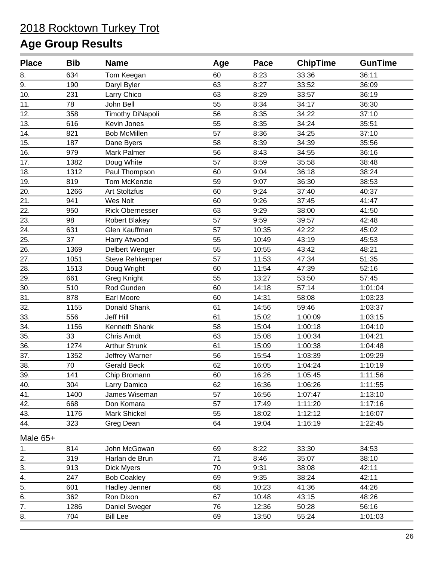| <b>Place</b>      | <b>Bib</b> | <b>Name</b>             | Age | Pace  | <b>ChipTime</b> | <b>GunTime</b> |
|-------------------|------------|-------------------------|-----|-------|-----------------|----------------|
| 8.                | 634        | Tom Keegan              | 60  | 8:23  | 33:36           | 36:11          |
| 9.                | 190        | Daryl Byler             | 63  | 8:27  | 33:52           | 36:09          |
| 10.               | 231        | Larry Chico             | 63  | 8:29  | 33:57           | 36:19          |
| 11.               | 78         | John Bell               | 55  | 8:34  | 34:17           | 36:30          |
| 12.               | 358        | <b>Timothy DiNapoli</b> | 56  | 8:35  | 34:22           | 37:10          |
| 13.               | 616        | Kevin Jones             | 55  | 8:35  | 34:24           | 35:51          |
| 14.               | 821        | <b>Bob McMillen</b>     | 57  | 8:36  | 34:25           | 37:10          |
| 15.               | 187        | Dane Byers              | 58  | 8:39  | 34:39           | 35:56          |
| 16.               | 979        | Mark Palmer             | 56  | 8:43  | 34:55           | 36:16          |
| 17.               | 1382       | Doug White              | 57  | 8:59  | 35:58           | 38:48          |
| 18.               | 1312       | Paul Thompson           | 60  | 9:04  | 36:18           | 38:24          |
| 19.               | 819        | Tom McKenzie            | 59  | 9:07  | 36:30           | 38:53          |
| 20.               | 1266       | <b>Art Stoltzfus</b>    | 60  | 9:24  | 37:40           | 40:37          |
| 21.               | 941        | Wes Nolt                | 60  | 9:26  | 37:45           | 41:47          |
| $\overline{22}$ . | 950        | <b>Rick Obernesser</b>  | 63  | 9:29  | 38:00           | 41:50          |
| 23.               | 98         | <b>Robert Blakey</b>    | 57  | 9:59  | 39:57           | 42:48          |
| 24.               | 631        | Glen Kauffman           | 57  | 10:35 | 42:22           | 45:02          |
| 25.               | 37         | Harry Atwood            | 55  | 10:49 | 43:19           | 45:53          |
| 26.               | 1369       | Delbert Wenger          | 55  | 10:55 | 43:42           | 48:21          |
| 27.               | 1051       | Steve Rehkemper         | 57  | 11:53 | 47:34           | 51:35          |
| 28.               | 1513       | Doug Wright             | 60  | 11:54 | 47:39           | 52:16          |
| 29.               | 661        | Greg Knight             | 55  | 13:27 | 53:50           | 57:45          |
| 30.               | 510        | Rod Gunden              | 60  | 14:18 | 57:14           | 1:01:04        |
| 31.               | 878        | Earl Moore              | 60  | 14:31 | 58:08           | 1:03:23        |
| 32.               | 1155       | Donald Shank            | 61  | 14:56 | 59:46           | 1:03:37        |
| 33.               | 556        | Jeff Hill               | 61  | 15:02 | 1:00:09         | 1:03:15        |
| 34.               | 1156       | Kenneth Shank           | 58  | 15:04 | 1:00:18         | 1:04:10        |
| 35.               | 33         | Chris Arndt             | 63  | 15:08 | 1:00:34         | 1:04:21        |
| 36.               | 1274       | Arthur Strunk           | 61  | 15:09 | 1:00:38         | 1:04:48        |
| $\overline{37}$ . | 1352       | Jeffrey Warner          | 56  | 15:54 | 1:03:39         | 1:09:29        |
| 38.               | 70         | <b>Gerald Beck</b>      | 62  | 16:05 | 1:04:24         | 1:10:19        |
| 39.               | 141        | Chip Bromann            | 60  | 16:26 | 1:05:45         | 1:11:56        |
| 40.               | 304        | Larry Damico            | 62  | 16:36 | 1:06:26         | 1:11:55        |
| 41.               | 1400       | James Wiseman           | 57  | 16:56 | 1:07:47         | 1:13:10        |
| 42.               | 668        | Don Komara              | 57  | 17:49 | 1:11:20         | 1:17:16        |
| 43.               | 1176       | Mark Shickel            | 55  | 18:02 | 1:12:12         | 1:16:07        |
| 44.               | 323        | Greg Dean               | 64  | 19:04 | 1:16:19         | 1:22:45        |
| Male 65+          |            |                         |     |       |                 |                |
| 1.                | 814        | John McGowan            | 69  | 8:22  | 33:30           | 34:53          |
| 2.                | 319        | Harlan de Brun          | 71  | 8:46  | 35:07           | 38:10          |
| 3.                | 913        | Dick Myers              | 70  | 9:31  | 38:08           | 42:11          |
| 4.                | 247        | <b>Bob Coakley</b>      | 69  | 9:35  | 38:24           | 42:11          |
| $\overline{5}$ .  | 601        | Hadley Jenner           | 68  | 10:23 | 41:36           | 44:26          |
| 6.                | 362        | Ron Dixon               | 67  | 10:48 | 43:15           | 48:26          |
| 7.                | 1286       | Daniel Sweger           | 76  | 12:36 | 50:28           | 56:16          |
| 8.                | 704        | <b>Bill Lee</b>         | 69  | 13:50 | 55:24           | 1:01:03        |
|                   |            |                         |     |       |                 |                |